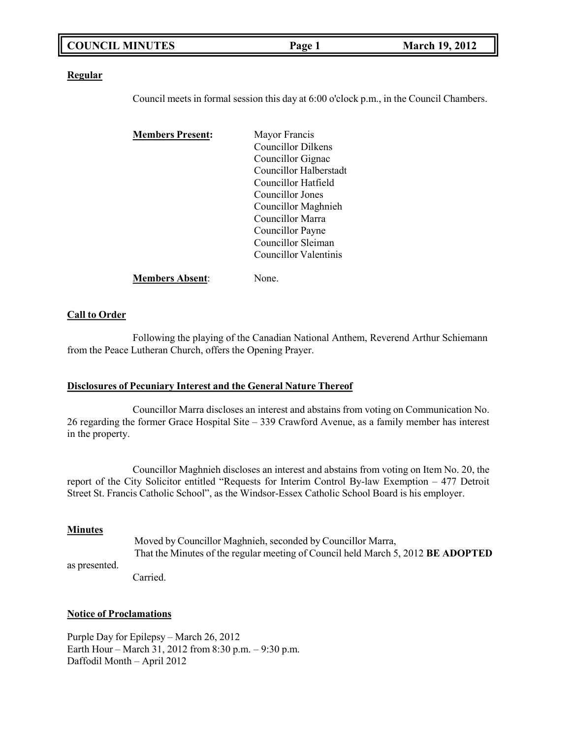| <b>COUNCIL MINUTES</b> |
|------------------------|
|------------------------|

#### **Regular**

Council meets in formal session this day at 6:00 o'clock p.m., in the Council Chambers.

| <b>Members Present:</b> | Mayor Francis             |
|-------------------------|---------------------------|
|                         | <b>Councillor Dilkens</b> |
|                         | Councillor Gignac         |
|                         | Councillor Halberstadt    |
|                         | Councillor Hatfield       |
|                         | Councillor Jones          |
|                         | Councillor Maghnieh       |
|                         | Councillor Marra          |
|                         | Councillor Payne          |
|                         | Councillor Sleiman        |
|                         | Councillor Valentinis     |
| <b>Members Absent:</b>  | None.                     |

## **Call to Order**

Following the playing of the Canadian National Anthem, Reverend Arthur Schiemann from the Peace Lutheran Church, offers the Opening Prayer.

### **Disclosures of Pecuniary Interest and the General Nature Thereof**

Councillor Marra discloses an interest and abstains from voting on Communication No. 26 regarding the former Grace Hospital Site – 339 Crawford Avenue, as a family member has interest in the property.

Councillor Maghnieh discloses an interest and abstains from voting on Item No. 20, the report of the City Solicitor entitled "Requests for Interim Control By-law Exemption – 477 Detroit Street St. Francis Catholic School", as the Windsor-Essex Catholic School Board is his employer.

### **Minutes**

as presented. Moved by Councillor Maghnieh, seconded by Councillor Marra, That the Minutes of the regular meeting of Council held March 5, 2012 **BE ADOPTED**

Carried.

### **Notice of Proclamations**

Purple Day for Epilepsy – March 26, 2012 Earth Hour – March 31, 2012 from 8:30 p.m. – 9:30 p.m. Daffodil Month – April 2012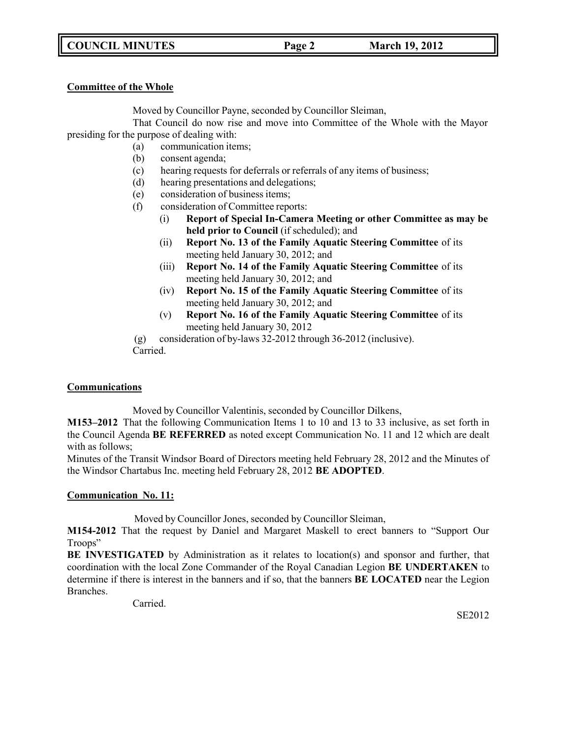# **COUNCIL MINUTES Page 2 March 19, 2012**

### **Committee of the Whole**

Moved by Councillor Payne, seconded by Councillor Sleiman,

That Council do now rise and move into Committee of the Whole with the Mayor presiding for the purpose of dealing with:

- (a) communication items;
- (b) consent agenda;
- (c) hearing requests for deferrals or referrals of any items of business;
- (d) hearing presentations and delegations;
- (e) consideration of business items;
- (f) consideration of Committee reports:
	- (i) **Report of Special In-Camera Meeting or other Committee as may be held prior to Council** (if scheduled); and
	- (ii) **Report No. 13 of the Family Aquatic Steering Committee** of its meeting held January 30, 2012; and
	- (iii) **Report No. 14 of the Family Aquatic Steering Committee** of its meeting held January 30, 2012; and
	- (iv) **Report No. 15 of the Family Aquatic Steering Committee** of its meeting held January 30, 2012; and
	- (v) **Report No. 16 of the Family Aquatic Steering Committee** of its meeting held January 30, 2012

(g) consideration of by-laws 32-2012 through 36-2012 (inclusive).

Carried.

# **Communications**

Moved by Councillor Valentinis, seconded by Councillor Dilkens,

**M153–2012** That the following Communication Items 1 to 10 and 13 to 33 inclusive, as set forth in the Council Agenda **BE REFERRED** as noted except Communication No. 11 and 12 which are dealt with as follows;

Minutes of the Transit Windsor Board of Directors meeting held February 28, 2012 and the Minutes of the Windsor Chartabus Inc. meeting held February 28, 2012 **BE ADOPTED**.

# **Communication No. 11:**

Moved by Councillor Jones, seconded by Councillor Sleiman,

**M154-2012** That the request by Daniel and Margaret Maskell to erect banners to "Support Our Troops"

**BE INVESTIGATED** by Administration as it relates to location(s) and sponsor and further, that coordination with the local Zone Commander of the Royal Canadian Legion **BE UNDERTAKEN** to determine if there is interest in the banners and if so, that the banners **BE LOCATED** near the Legion Branches.

Carried.

SE2012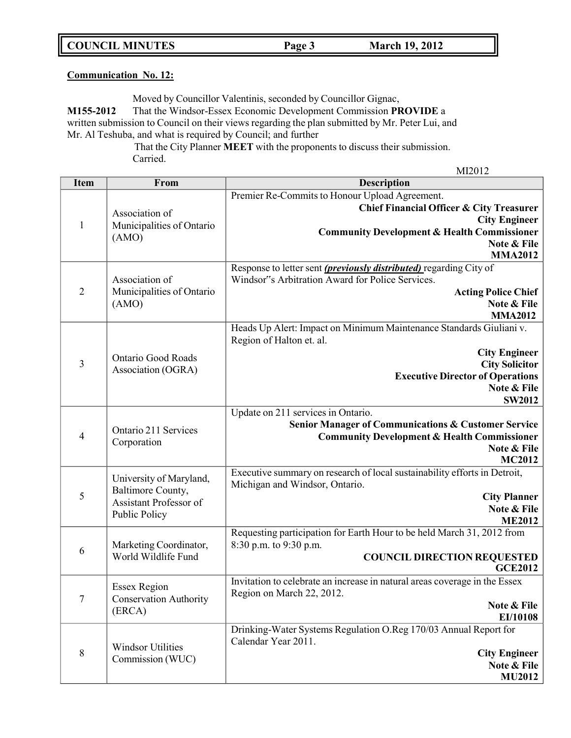**COUNCIL MINUTES Page 3 March 19, 2012**

#### **Communication No. 12:**

Moved by Councillor Valentinis, seconded by Councillor Gignac,

**M155-2012** That the Windsor-Essex Economic Development Commission **PROVIDE** a written submission to Council on their views regarding the plan submitted by Mr. Peter Lui, and Mr. Al Teshuba, and what is required by Council; and further

> That the City Planner **MEET** with the proponents to discuss their submission. Carried.

MI2012 **Item From Description** 1 Association of Municipalities of Ontario (AMO) Premier Re-Commits to Honour Upload Agreement. **Chief Financial Officer & City Treasurer City Engineer Community Development & Health Commissioner Note & File MMA2012** 2 Association of Municipalities of Ontario (AMO) Response to letter sent *(previously distributed)* regarding City of Windsor"s Arbitration Award for Police Services. **Acting Police Chief Note & File MMA2012** 3 Ontario Good Roads Association (OGRA) Heads Up Alert: Impact on Minimum Maintenance Standards Giuliani v. Region of Halton et. al. **City Engineer City Solicitor Executive Director of Operations Note & File SW2012** 4 Ontario 211 Services Corporation Update on 211 services in Ontario. **Senior Manager of Communications & Customer Service Community Development & Health Commissioner Note & File MC2012** 5 University of Maryland, Baltimore County, Assistant Professor of Public Policy Executive summary on research of local sustainability efforts in Detroit, Michigan and Windsor, Ontario. **City Planner Note & File ME2012** 6 Marketing Coordinator, World Wildlife Fund Requesting participation for Earth Hour to be held March 31, 2012 from 8:30 p.m. to 9:30 p.m. **COUNCIL DIRECTION REQUESTED GCE2012** 7 Essex Region Conservation Authority (ERCA) Invitation to celebrate an increase in natural areas coverage in the Essex Region on March 22, 2012. **Note & File EI/10108** 8 Windsor Utilities Commission (WUC) Drinking-Water Systems Regulation O.Reg 170/03 Annual Report for Calendar Year 2011. **City Engineer Note & File MU2012**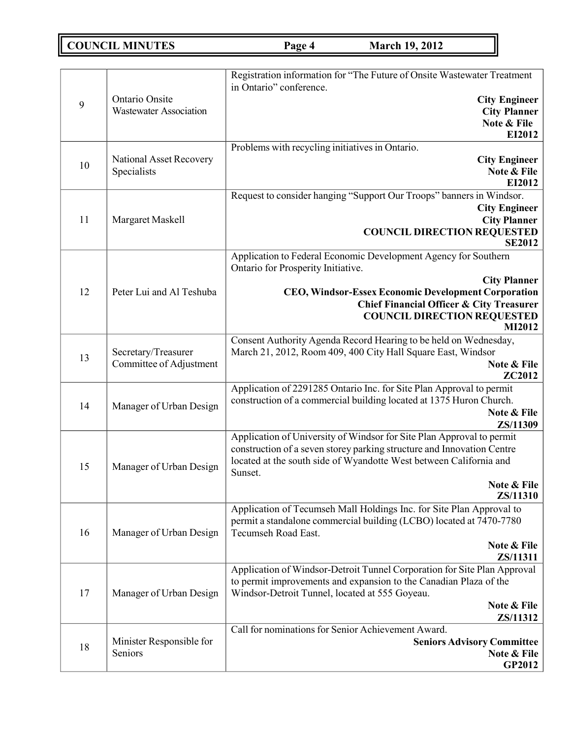# **COUNCIL MINUTES Page 4 March 19, 2012**

|    |                                                 | Registration information for "The Future of Onsite Wastewater Treatment                    |
|----|-------------------------------------------------|--------------------------------------------------------------------------------------------|
|    | Ontario Onsite<br><b>Wastewater Association</b> | in Ontario" conference.<br><b>City Engineer</b>                                            |
| 9  |                                                 | <b>City Planner</b>                                                                        |
|    |                                                 | Note & File                                                                                |
|    |                                                 | EI2012                                                                                     |
|    |                                                 | Problems with recycling initiatives in Ontario.                                            |
| 10 | National Asset Recovery<br>Specialists          | <b>City Engineer</b><br>Note & File                                                        |
|    |                                                 | EI2012                                                                                     |
|    |                                                 | Request to consider hanging "Support Our Troops" banners in Windsor.                       |
|    |                                                 | <b>City Engineer</b>                                                                       |
| 11 | Margaret Maskell                                | <b>City Planner</b>                                                                        |
|    |                                                 | <b>COUNCIL DIRECTION REQUESTED</b><br><b>SE2012</b>                                        |
|    |                                                 | Application to Federal Economic Development Agency for Southern                            |
|    |                                                 | Ontario for Prosperity Initiative.                                                         |
|    |                                                 | <b>City Planner</b>                                                                        |
| 12 | Peter Lui and Al Teshuba                        | <b>CEO, Windsor-Essex Economic Development Corporation</b>                                 |
|    |                                                 | <b>Chief Financial Officer &amp; City Treasurer</b>                                        |
|    |                                                 | <b>COUNCIL DIRECTION REQUESTED</b><br><b>MI2012</b>                                        |
|    |                                                 | Consent Authority Agenda Record Hearing to be held on Wednesday,                           |
| 13 | Secretary/Treasurer                             | March 21, 2012, Room 409, 400 City Hall Square East, Windsor                               |
|    | Committee of Adjustment                         | Note & File                                                                                |
|    |                                                 | ZC2012<br>Application of 2291285 Ontario Inc. for Site Plan Approval to permit             |
|    |                                                 | construction of a commercial building located at 1375 Huron Church.                        |
| 14 | Manager of Urban Design                         | Note & File                                                                                |
|    |                                                 | ZS/11309                                                                                   |
|    |                                                 | Application of University of Windsor for Site Plan Approval to permit                      |
|    | Manager of Urban Design                         | construction of a seven storey parking structure and Innovation Centre                     |
| 15 |                                                 | located at the south side of Wyandotte West between California and<br>Sunset.              |
|    |                                                 | Note & File                                                                                |
|    |                                                 | ZS/11310                                                                                   |
|    |                                                 | Application of Tecumseh Mall Holdings Inc. for Site Plan Approval to                       |
|    |                                                 | permit a standalone commercial building (LCBO) located at 7470-7780<br>Tecumseh Road East. |
| 16 | Manager of Urban Design                         | Note & File                                                                                |
|    |                                                 | ZS/11311                                                                                   |
|    |                                                 | Application of Windsor-Detroit Tunnel Corporation for Site Plan Approval                   |
|    |                                                 | to permit improvements and expansion to the Canadian Plaza of the                          |
| 17 | Manager of Urban Design                         | Windsor-Detroit Tunnel, located at 555 Goyeau.                                             |
|    |                                                 | Note & File<br>ZS/11312                                                                    |
|    |                                                 | Call for nominations for Senior Achievement Award.                                         |
| 18 | Minister Responsible for                        | <b>Seniors Advisory Committee</b>                                                          |
|    | Seniors                                         | Note & File                                                                                |
|    |                                                 | <b>GP2012</b>                                                                              |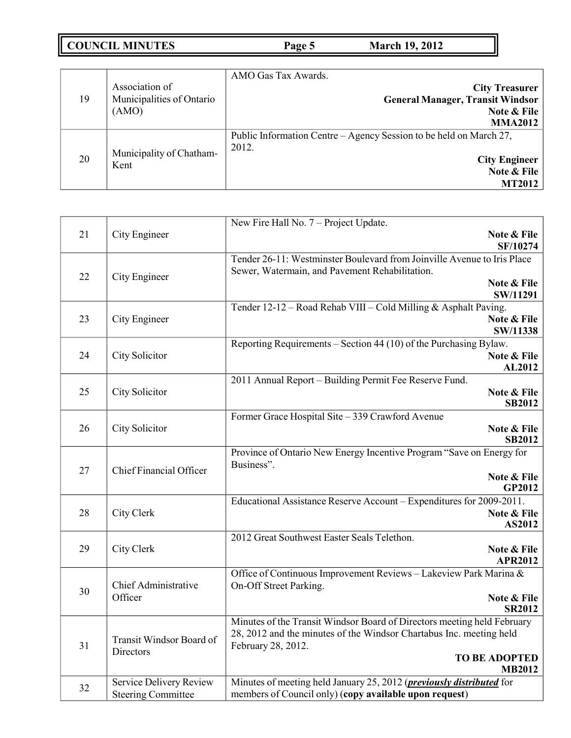**COUNCIL MINUTES Page 5 March 19, 2012**

| 19 | Association of<br>Municipalities of Ontario<br>(AMO) | AMO Gas Tax Awards.<br><b>City Treasurer</b><br><b>General Manager, Transit Windsor</b><br>Note & File<br><b>MMA2012</b>            |
|----|------------------------------------------------------|-------------------------------------------------------------------------------------------------------------------------------------|
| 20 | Municipality of Chatham-<br>Kent                     | Public Information Centre – Agency Session to be held on March 27,<br>2012.<br><b>City Engineer</b><br>Note & File<br><b>MT2012</b> |

|    |                                | New Fire Hall No. $7$ – Project Update.                                      |
|----|--------------------------------|------------------------------------------------------------------------------|
| 21 | City Engineer                  | Note & File                                                                  |
|    |                                | SF/10274                                                                     |
|    |                                | Tender 26-11: Westminster Boulevard from Joinville Avenue to Iris Place      |
| 22 | City Engineer                  | Sewer, Watermain, and Pavement Rehabilitation.                               |
|    |                                | Note & File                                                                  |
|    |                                | <b>SW/11291</b>                                                              |
|    |                                | Tender 12-12 - Road Rehab VIII - Cold Milling & Asphalt Paving.              |
| 23 | City Engineer                  | Note & File                                                                  |
|    |                                | SW/11338                                                                     |
|    |                                | Reporting Requirements – Section 44 (10) of the Purchasing Bylaw.            |
| 24 | City Solicitor                 | Note & File                                                                  |
|    |                                | AL2012                                                                       |
|    |                                | 2011 Annual Report - Building Permit Fee Reserve Fund.                       |
| 25 | City Solicitor                 | Note & File                                                                  |
|    |                                | <b>SB2012</b>                                                                |
|    |                                | Former Grace Hospital Site - 339 Crawford Avenue                             |
| 26 | City Solicitor                 | Note & File                                                                  |
|    |                                | <b>SB2012</b>                                                                |
|    |                                | Province of Ontario New Energy Incentive Program "Save on Energy for         |
| 27 | <b>Chief Financial Officer</b> | Business".                                                                   |
|    |                                | Note & File                                                                  |
|    |                                | GP2012                                                                       |
|    |                                | Educational Assistance Reserve Account - Expenditures for 2009-2011.         |
| 28 | City Clerk                     | Note & File<br>AS2012                                                        |
|    |                                | 2012 Great Southwest Easter Seals Telethon.                                  |
| 29 | City Clerk                     | Note & File                                                                  |
|    |                                | <b>APR2012</b>                                                               |
|    |                                | Office of Continuous Improvement Reviews - Lakeview Park Marina &            |
|    | Chief Administrative           | On-Off Street Parking.                                                       |
| 30 | Officer                        | Note & File                                                                  |
|    |                                | <b>SR2012</b>                                                                |
|    |                                | Minutes of the Transit Windsor Board of Directors meeting held February      |
|    |                                | 28, 2012 and the minutes of the Windsor Chartabus Inc. meeting held          |
| 31 | Transit Windsor Board of       | February 28, 2012.                                                           |
|    | <b>Directors</b>               | <b>TO BE ADOPTED</b>                                                         |
|    |                                | <b>MB2012</b>                                                                |
|    | Service Delivery Review        | Minutes of meeting held January 25, 2012 ( <i>previously distributed</i> for |
| 32 | <b>Steering Committee</b>      | members of Council only) (copy available upon request)                       |
|    |                                |                                                                              |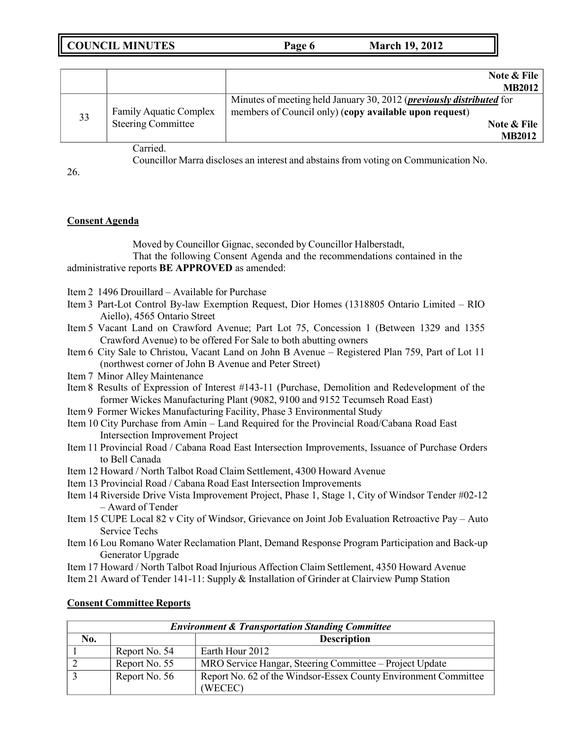| <b>COUNCIL MINUTES</b> |  |
|------------------------|--|
|------------------------|--|

**COUNCIL MINUTES Page 6 March 19, 2012**

|    |                               | Note & File<br><b>MB2012</b>                                                                                                           |
|----|-------------------------------|----------------------------------------------------------------------------------------------------------------------------------------|
| 33 | <b>Family Aquatic Complex</b> | Minutes of meeting held January 30, 2012 ( <i>previously distributed</i> for<br>members of Council only) (copy available upon request) |
|    | <b>Steering Committee</b>     | Note & File                                                                                                                            |
|    |                               | <b>MB2012</b>                                                                                                                          |

Carried.

Councillor Marra discloses an interest and abstains from voting on Communication No.

26.

# **Consent Agenda**

Moved by Councillor Gignac, seconded by Councillor Halberstadt,

That the following Consent Agenda and the recommendations contained in the administrative reports **BE APPROVED** as amended:

- Item 2 1496 Drouillard Available for Purchase
- Item 3 Part-Lot Control By-law Exemption Request, Dior Homes (1318805 Ontario Limited RIO Aiello), 4565 Ontario Street
- Item 5 Vacant Land on Crawford Avenue; Part Lot 75, Concession 1 (Between 1329 and 1355 Crawford Avenue) to be offered For Sale to both abutting owners
- Item 6 City Sale to Christou, Vacant Land on John B Avenue Registered Plan 759, Part of Lot 11 (northwest corner of John B Avenue and Peter Street)
- Item 7 Minor Alley Maintenance

Item 8 Results of Expression of Interest #143-11 (Purchase, Demolition and Redevelopment of the former Wickes Manufacturing Plant (9082, 9100 and 9152 Tecumseh Road East)

- Item 9 Former Wickes Manufacturing Facility, Phase 3 Environmental Study
- Item 10 City Purchase from Amin Land Required for the Provincial Road/Cabana Road East Intersection Improvement Project
- Item 11 Provincial Road / Cabana Road East Intersection Improvements, Issuance of Purchase Orders to Bell Canada
- Item 12 Howard / North Talbot Road Claim Settlement, 4300 Howard Avenue
- Item 13 Provincial Road / Cabana Road East Intersection Improvements
- Item 14 Riverside Drive Vista Improvement Project, Phase 1, Stage 1, City of Windsor Tender #02-12 – Award of Tender
- Item 15 CUPE Local 82 v City of Windsor, Grievance on Joint Job Evaluation Retroactive Pay Auto Service Techs
- Item 16 Lou Romano Water Reclamation Plant, Demand Response Program Participation and Back-up Generator Upgrade
- Item 17 Howard / North Talbot Road Injurious Affection Claim Settlement, 4350 Howard Avenue
- Item 21 Award of Tender 141-11: Supply & Installation of Grinder at Clairview Pump Station

| <b>Environment &amp; Transportation Standing Committee</b> |               |                                                                            |
|------------------------------------------------------------|---------------|----------------------------------------------------------------------------|
| No.                                                        |               | <b>Description</b>                                                         |
|                                                            | Report No. 54 | Earth Hour 2012                                                            |
|                                                            | Report No. 55 | MRO Service Hangar, Steering Committee – Project Update                    |
|                                                            | Report No. 56 | Report No. 62 of the Windsor-Essex County Environment Committee<br>(WECEC) |

# **Consent Committee Reports**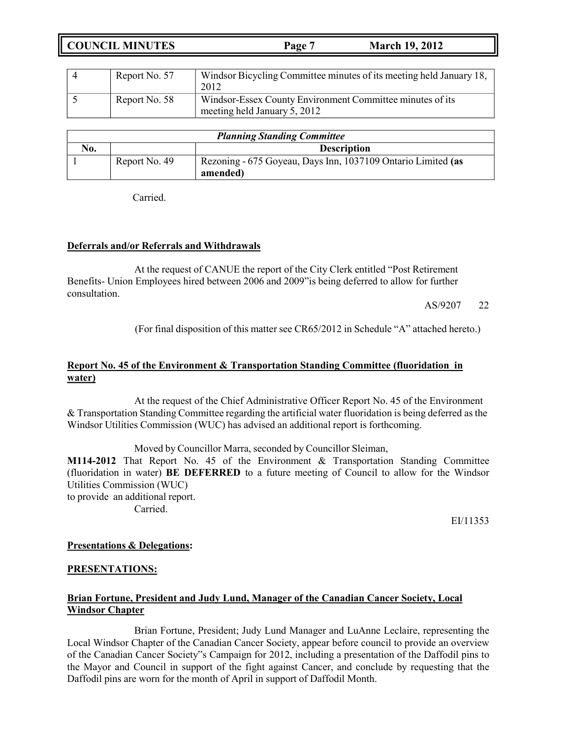| Report No. 57 | Windsor Bicycling Committee minutes of its meeting held January 18,<br>2012               |
|---------------|-------------------------------------------------------------------------------------------|
| Report No. 58 | Windsor-Essex County Environment Committee minutes of its<br>meeting held January 5, 2012 |

| <b>Planning Standing Committee</b> |               |                                                                          |  |
|------------------------------------|---------------|--------------------------------------------------------------------------|--|
| No.                                |               | <b>Description</b>                                                       |  |
|                                    | Report No. 49 | Rezoning - 675 Goyeau, Days Inn, 1037109 Ontario Limited (as<br>amended) |  |

Carried.

## **Deferrals and/or Referrals and Withdrawals**

At the request of CANUE the report of the City Clerk entitled "Post Retirement Benefits- Union Employees hired between 2006 and 2009"is being deferred to allow for further consultation.

AS/9207 22

(For final disposition of this matter see CR65/2012 in Schedule "A" attached hereto.)

# **Report No. 45 of the Environment & Transportation Standing Committee (fluoridation in water)**

At the request of the Chief Administrative Officer Report No. 45 of the Environment & Transportation Standing Committee regarding the artificial water fluoridation is being deferred as the Windsor Utilities Commission (WUC) has advised an additional report is forthcoming.

Moved by Councillor Marra, seconded by Councillor Sleiman,

**M114-2012** That Report No. 45 of the Environment & Transportation Standing Committee (fluoridation in water) **BE DEFERRED** to a future meeting of Council to allow for the Windsor Utilities Commission (WUC)

to provide an additional report.

Carried.

EI/11353

# **Presentations & Delegations:**

### **PRESENTATIONS:**

# **Brian Fortune, President and Judy Lund, Manager of the Canadian Cancer Society, Local Windsor Chapter**

Brian Fortune, President; Judy Lund Manager and LuAnne Leclaire, representing the Local Windsor Chapter of the Canadian Cancer Society, appear before council to provide an overview of the Canadian Cancer Society"s Campaign for 2012, including a presentation of the Daffodil pins to the Mayor and Council in support of the fight against Cancer, and conclude by requesting that the Daffodil pins are worn for the month of April in support of Daffodil Month.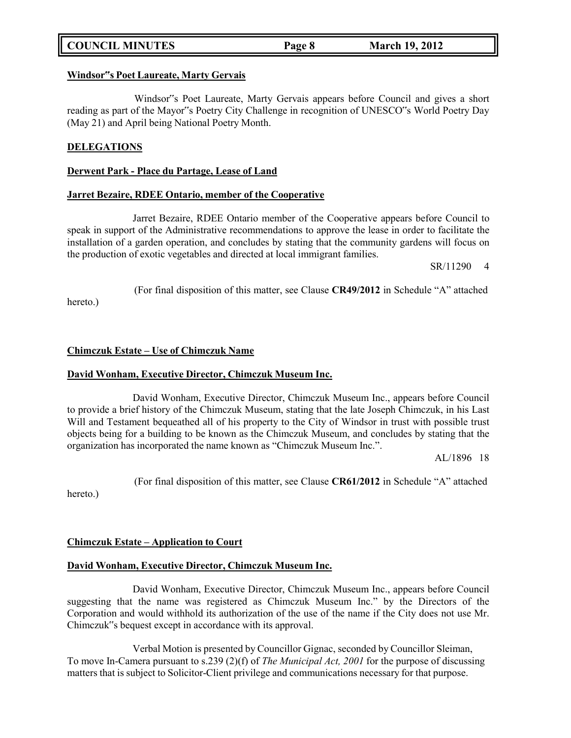## **COUNCIL MINUTES Page 8 March 19, 2012**

#### **Windsor"s Poet Laureate, Marty Gervais**

Windsor"s Poet Laureate, Marty Gervais appears before Council and gives a short reading as part of the Mayor"s Poetry City Challenge in recognition of UNESCO"s World Poetry Day (May 21) and April being National Poetry Month.

#### **DELEGATIONS**

#### **Derwent Park - Place du Partage, Lease of Land**

#### **Jarret Bezaire, RDEE Ontario, member of the Cooperative**

Jarret Bezaire, RDEE Ontario member of the Cooperative appears before Council to speak in support of the Administrative recommendations to approve the lease in order to facilitate the installation of a garden operation, and concludes by stating that the community gardens will focus on the production of exotic vegetables and directed at local immigrant families.

SR/11290 4

(For final disposition of this matter, see Clause **CR49/2012** in Schedule "A" attached

#### **Chimczuk Estate – Use of Chimczuk Name**

#### **David Wonham, Executive Director, Chimczuk Museum Inc.**

David Wonham, Executive Director, Chimczuk Museum Inc., appears before Council to provide a brief history of the Chimczuk Museum, stating that the late Joseph Chimczuk, in his Last Will and Testament bequeathed all of his property to the City of Windsor in trust with possible trust objects being for a building to be known as the Chimczuk Museum, and concludes by stating that the organization has incorporated the name known as "Chimczuk Museum Inc.".

AL/1896 18

(For final disposition of this matter, see Clause **CR61/2012** in Schedule "A" attached

hereto.)

hereto.)

### **Chimczuk Estate – Application to Court**

### **David Wonham, Executive Director, Chimczuk Museum Inc.**

David Wonham, Executive Director, Chimczuk Museum Inc., appears before Council suggesting that the name was registered as Chimczuk Museum Inc." by the Directors of the Corporation and would withhold its authorization of the use of the name if the City does not use Mr. Chimczuk"s bequest except in accordance with its approval.

Verbal Motion is presented by Councillor Gignac, seconded by Councillor Sleiman, To move In-Camera pursuant to s.239 (2)(f) of *The Municipal Act, 2001* for the purpose of discussing matters that is subject to Solicitor-Client privilege and communications necessary for that purpose.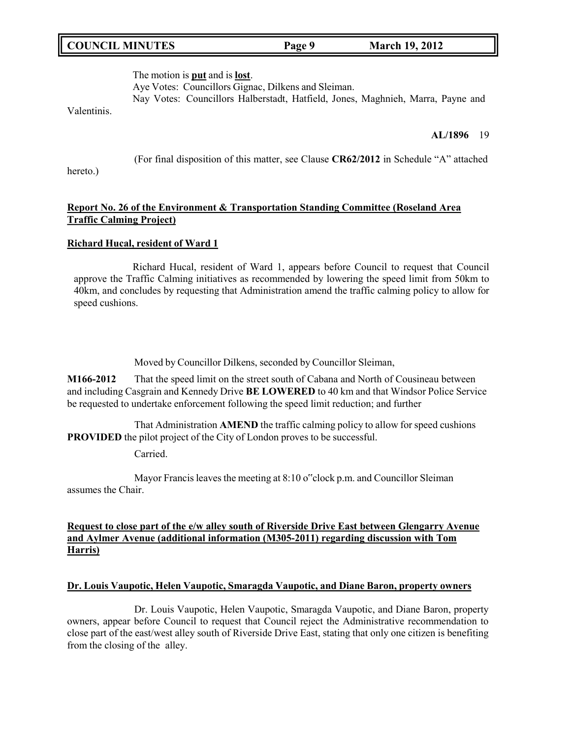# **COUNCIL MINUTES Page 9 March 19, 2012**

The motion is **put** and is **lost**.

Aye Votes: Councillors Gignac, Dilkens and Sleiman.

Nay Votes: Councillors Halberstadt, Hatfield, Jones, Maghnieh, Marra, Payne and

**AL/1896** 19

Valentinis.

(For final disposition of this matter, see Clause **CR62/2012** in Schedule "A" attached

hereto.)

# **Report No. 26 of the Environment & Transportation Standing Committee (Roseland Area Traffic Calming Project)**

# **Richard Hucal, resident of Ward 1**

Richard Hucal, resident of Ward 1, appears before Council to request that Council approve the Traffic Calming initiatives as recommended by lowering the speed limit from 50km to 40km, and concludes by requesting that Administration amend the traffic calming policy to allow for speed cushions.

Moved by Councillor Dilkens, seconded by Councillor Sleiman,

**M166-2012** That the speed limit on the street south of Cabana and North of Cousineau between and including Casgrain and Kennedy Drive **BE LOWERED** to 40 km and that Windsor Police Service be requested to undertake enforcement following the speed limit reduction; and further

That Administration **AMEND** the traffic calming policy to allow for speed cushions **PROVIDED** the pilot project of the City of London proves to be successful.

Carried.

Mayor Francis leaves the meeting at 8:10 o"clock p.m. and Councillor Sleiman assumes the Chair.

## **Request to close part of the e/w alley south of Riverside Drive East between Glengarry Avenue and Aylmer Avenue (additional information (M305-2011) regarding discussion with Tom Harris)**

### **Dr. Louis Vaupotic, Helen Vaupotic, Smaragda Vaupotic, and Diane Baron, property owners**

Dr. Louis Vaupotic, Helen Vaupotic, Smaragda Vaupotic, and Diane Baron, property owners, appear before Council to request that Council reject the Administrative recommendation to close part of the east/west alley south of Riverside Drive East, stating that only one citizen is benefiting from the closing of the alley.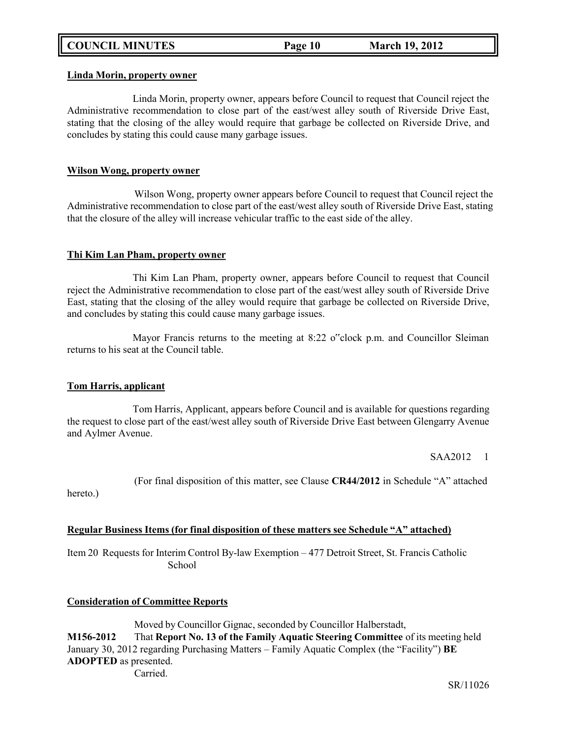#### **Linda Morin, property owner**

Linda Morin, property owner, appears before Council to request that Council reject the Administrative recommendation to close part of the east/west alley south of Riverside Drive East, stating that the closing of the alley would require that garbage be collected on Riverside Drive, and concludes by stating this could cause many garbage issues.

#### **Wilson Wong, property owner**

Wilson Wong, property owner appears before Council to request that Council reject the Administrative recommendation to close part of the east/west alley south of Riverside Drive East, stating that the closure of the alley will increase vehicular traffic to the east side of the alley.

#### **Thi Kim Lan Pham, property owner**

Thi Kim Lan Pham, property owner, appears before Council to request that Council reject the Administrative recommendation to close part of the east/west alley south of Riverside Drive East, stating that the closing of the alley would require that garbage be collected on Riverside Drive, and concludes by stating this could cause many garbage issues.

Mayor Francis returns to the meeting at 8:22 o"clock p.m. and Councillor Sleiman returns to his seat at the Council table.

### **Tom Harris, applicant**

Tom Harris, Applicant, appears before Council and is available for questions regarding the request to close part of the east/west alley south of Riverside Drive East between Glengarry Avenue and Aylmer Avenue.

#### SAA2012 1

(For final disposition of this matter, see Clause **CR44/2012** in Schedule "A" attached

hereto.)

# **Regular Business Items (for final disposition of these matters see Schedule "A" attached)**

Item 20 Requests for Interim Control By-law Exemption – 477 Detroit Street, St. Francis Catholic School

# **Consideration of Committee Reports**

Moved by Councillor Gignac, seconded by Councillor Halberstadt, **M156-2012** That **Report No. 13 of the Family Aquatic Steering Committee** of its meeting held January 30, 2012 regarding Purchasing Matters – Family Aquatic Complex (the "Facility") **BE ADOPTED** as presented. Carried.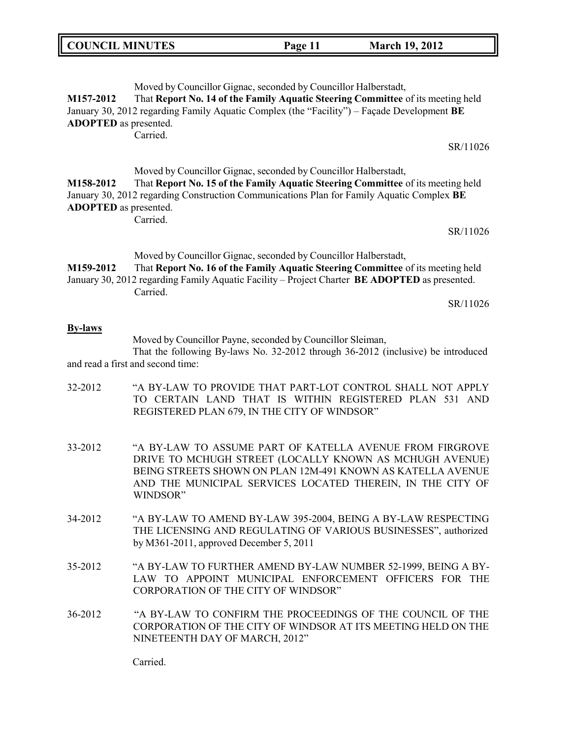| <b>COUNCIL MINUTES</b> | Page 11 | <b>March 19, 2012</b> |  |
|------------------------|---------|-----------------------|--|
|------------------------|---------|-----------------------|--|

Moved by Councillor Gignac, seconded by Councillor Halberstadt,

**M157-2012** That **Report No. 14 of the Family Aquatic Steering Committee** of its meeting held January 30, 2012 regarding Family Aquatic Complex (the "Facility") – Façade Development **BE ADOPTED** as presented.

Carried.

SR/11026

Moved by Councillor Gignac, seconded by Councillor Halberstadt,

**M158-2012** That **Report No. 15 of the Family Aquatic Steering Committee** of its meeting held January 30, 2012 regarding Construction Communications Plan for Family Aquatic Complex **BE ADOPTED** as presented.

Carried.

SR/11026

Moved by Councillor Gignac, seconded by Councillor Halberstadt,

**M159-2012** That **Report No. 16 of the Family Aquatic Steering Committee** of its meeting held January 30, 2012 regarding Family Aquatic Facility – Project Charter **BE ADOPTED** as presented. Carried.

SR/11026

## **By-laws**

Moved by Councillor Payne, seconded by Councillor Sleiman,

That the following By-laws No. 32-2012 through 36-2012 (inclusive) be introduced and read a first and second time:

- 32-2012 "A BY-LAW TO PROVIDE THAT PART-LOT CONTROL SHALL NOT APPLY TO CERTAIN LAND THAT IS WITHIN REGISTERED PLAN 531 AND REGISTERED PLAN 679, IN THE CITY OF WINDSOR"
- 33-2012 "A BY-LAW TO ASSUME PART OF KATELLA AVENUE FROM FIRGROVE DRIVE TO MCHUGH STREET (LOCALLY KNOWN AS MCHUGH AVENUE) BEING STREETS SHOWN ON PLAN 12M-491 KNOWN AS KATELLA AVENUE AND THE MUNICIPAL SERVICES LOCATED THEREIN, IN THE CITY OF WINDSOR"
- 34-2012 "A BY-LAW TO AMEND BY-LAW 395-2004, BEING A BY-LAW RESPECTING THE LICENSING AND REGULATING OF VARIOUS BUSINESSES", authorized by M361-2011, approved December 5, 2011
- 35-2012 "A BY-LAW TO FURTHER AMEND BY-LAW NUMBER 52-1999, BEING A BY-LAW TO APPOINT MUNICIPAL ENFORCEMENT OFFICERS FOR THE CORPORATION OF THE CITY OF WINDSOR"
- 36-2012 "A BY-LAW TO CONFIRM THE PROCEEDINGS OF THE COUNCIL OF THE CORPORATION OF THE CITY OF WINDSOR AT ITS MEETING HELD ON THE NINETEENTH DAY OF MARCH, 2012"

Carried.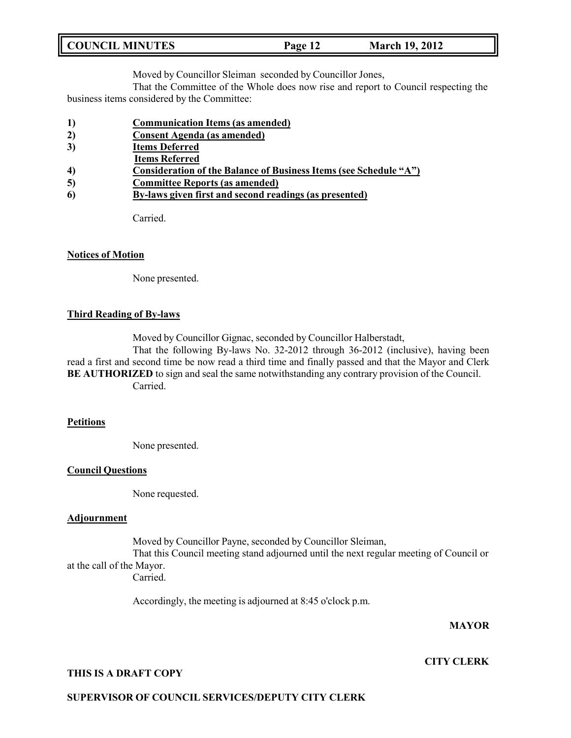| <b>COUNCIL MINUTES</b> | Page 12 | <b>March 19, 2012</b> |  |
|------------------------|---------|-----------------------|--|
|------------------------|---------|-----------------------|--|

Moved by Councillor Sleiman seconded by Councillor Jones,

That the Committee of the Whole does now rise and report to Council respecting the business items considered by the Committee:

- **1) Communication Items (as amended)**
- **2) Consent Agenda (as amended)**
- **3) Items Deferred**
- **Items Referred**
- **4) Consideration of the Balance of Business Items (see Schedule "A")**
- **5) Committee Reports (as amended)**
- **6) By-laws given first and second readings (as presented)**

Carried.

#### **Notices of Motion**

None presented.

#### **Third Reading of By-laws**

Moved by Councillor Gignac, seconded by Councillor Halberstadt,

That the following By-laws No. 32-2012 through 36-2012 (inclusive), having been read a first and second time be now read a third time and finally passed and that the Mayor and Clerk **BE AUTHORIZED** to sign and seal the same notwithstanding any contrary provision of the Council. Carried.

#### **Petitions**

None presented.

### **Council Questions**

None requested.

#### **Adjournment**

Moved by Councillor Payne, seconded by Councillor Sleiman, That this Council meeting stand adjourned until the next regular meeting of Council or at the call of the Mayor.

Carried.

Accordingly, the meeting is adjourned at 8:45 o'clock p.m.

# **MAYOR**

# **CITY CLERK**

## **THIS IS A DRAFT COPY**

### **SUPERVISOR OF COUNCIL SERVICES/DEPUTY CITY CLERK**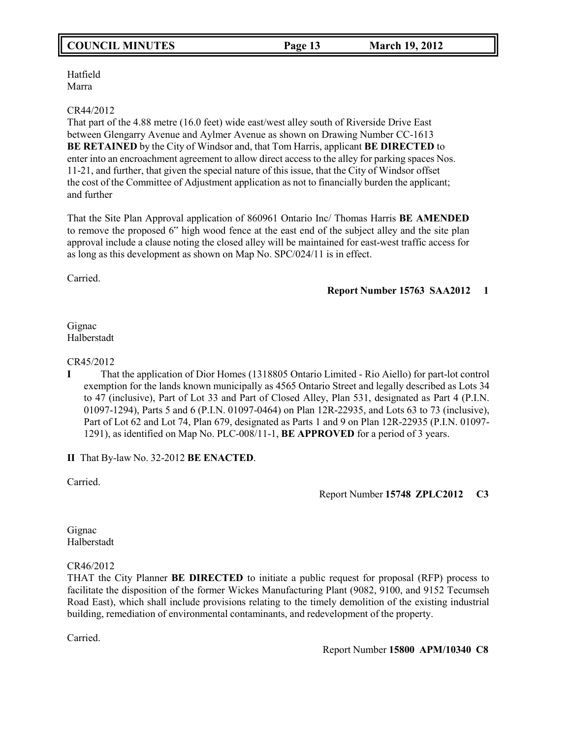# **COUNCIL MINUTES Page 13 March 19, 2012**

Hatfield Marra

### CR44/2012

That part of the 4.88 metre (16.0 feet) wide east/west alley south of Riverside Drive East between Glengarry Avenue and Aylmer Avenue as shown on Drawing Number CC-1613 **BE RETAINED** by the City of Windsor and, that Tom Harris, applicant **BE DIRECTED** to enter into an encroachment agreement to allow direct access to the alley for parking spaces Nos. 11-21, and further, that given the special nature of this issue, that the City of Windsor offset the cost of the Committee of Adjustment application as not to financially burden the applicant; and further

That the Site Plan Approval application of 860961 Ontario Inc/ Thomas Harris **BE AMENDED** to remove the proposed 6" high wood fence at the east end of the subject alley and the site plan approval include a clause noting the closed alley will be maintained for east-west traffic access for as long as this development as shown on Map No. SPC/024/11 is in effect.

Carried.

## **Report Number 15763 SAA2012 1**

Gignac Halberstadt

# CR45/2012

**I** That the application of Dior Homes (1318805 Ontario Limited - Rio Aiello) for part-lot control exemption for the lands known municipally as 4565 Ontario Street and legally described as Lots 34 to 47 (inclusive), Part of Lot 33 and Part of Closed Alley, Plan 531, designated as Part 4 (P.I.N. 01097-1294), Parts 5 and 6 (P.I.N. 01097-0464) on Plan 12R-22935, and Lots 63 to 73 (inclusive), Part of Lot 62 and Lot 74, Plan 679, designated as Parts 1 and 9 on Plan 12R-22935 (P.I.N. 01097- 1291), as identified on Map No. PLC-008/11-1, **BE APPROVED** for a period of 3 years.

**II** That By-law No. 32-2012 **BE ENACTED**.

Carried.

Report Number **15748 ZPLC2012 C3**

Gignac Halberstadt

# CR46/2012

THAT the City Planner **BE DIRECTED** to initiate a public request for proposal (RFP) process to facilitate the disposition of the former Wickes Manufacturing Plant (9082, 9100, and 9152 Tecumseh Road East), which shall include provisions relating to the timely demolition of the existing industrial building, remediation of environmental contaminants, and redevelopment of the property.

Carried.

Report Number **15800 APM/10340 C8**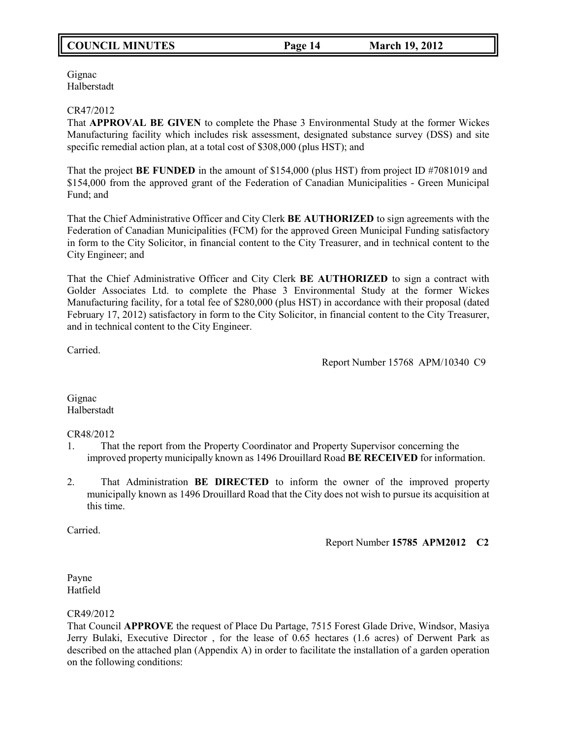# **COUNCIL MINUTES Page 14 March 19, 2012**

Gignac Halberstadt

#### CR47/2012

That **APPROVAL BE GIVEN** to complete the Phase 3 Environmental Study at the former Wickes Manufacturing facility which includes risk assessment, designated substance survey (DSS) and site specific remedial action plan, at a total cost of \$308,000 (plus HST); and

That the project **BE FUNDED** in the amount of \$154,000 (plus HST) from project ID #7081019 and \$154,000 from the approved grant of the Federation of Canadian Municipalities - Green Municipal Fund; and

That the Chief Administrative Officer and City Clerk **BE AUTHORIZED** to sign agreements with the Federation of Canadian Municipalities (FCM) for the approved Green Municipal Funding satisfactory in form to the City Solicitor, in financial content to the City Treasurer, and in technical content to the City Engineer; and

That the Chief Administrative Officer and City Clerk **BE AUTHORIZED** to sign a contract with Golder Associates Ltd. to complete the Phase 3 Environmental Study at the former Wickes Manufacturing facility, for a total fee of \$280,000 (plus HST) in accordance with their proposal (dated February 17, 2012) satisfactory in form to the City Solicitor, in financial content to the City Treasurer, and in technical content to the City Engineer.

Carried.

Report Number 15768 APM/10340 C9

Gignac Halberstadt

### CR48/2012

- 1. That the report from the Property Coordinator and Property Supervisor concerning the improved property municipally known as 1496 Drouillard Road **BE RECEIVED** for information.
- 2. That Administration **BE DIRECTED** to inform the owner of the improved property municipally known as 1496 Drouillard Road that the City does not wish to pursue its acquisition at this time.

Carried.

Report Number **15785 APM2012 C2**

Payne Hatfield

### CR49/2012

That Council **APPROVE** the request of Place Du Partage, 7515 Forest Glade Drive, Windsor, Masiya Jerry Bulaki, Executive Director , for the lease of 0.65 hectares (1.6 acres) of Derwent Park as described on the attached plan (Appendix A) in order to facilitate the installation of a garden operation on the following conditions: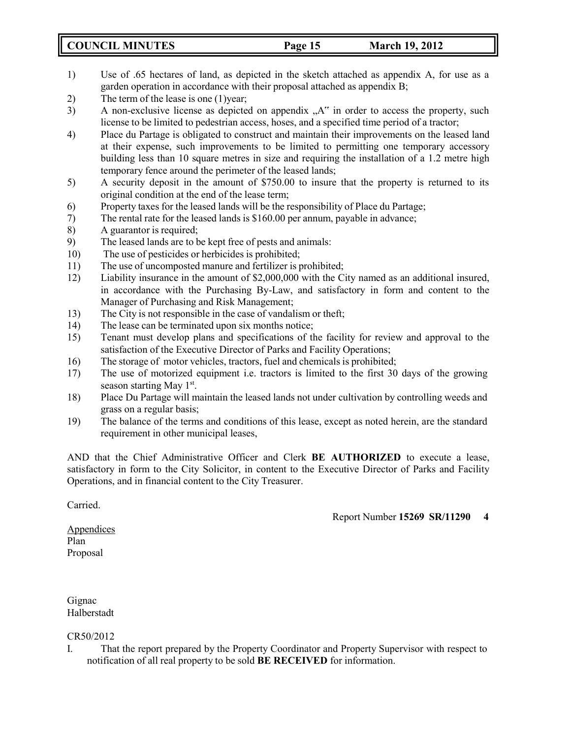## **COUNCIL MINUTES Page 15 March 19, 2012**

- 1) Use of .65 hectares of land, as depicted in the sketch attached as appendix A, for use as a garden operation in accordance with their proposal attached as appendix B;
- 2) The term of the lease is one (1)year;
- $3)$  A non-exclusive license as depicted on appendix  $A^{\prime\prime}$  in order to access the property, such license to be limited to pedestrian access, hoses, and a specified time period of a tractor;
- 4) Place du Partage is obligated to construct and maintain their improvements on the leased land at their expense, such improvements to be limited to permitting one temporary accessory building less than 10 square metres in size and requiring the installation of a 1.2 metre high temporary fence around the perimeter of the leased lands;
- 5) A security deposit in the amount of \$750.00 to insure that the property is returned to its original condition at the end of the lease term;
- 6) Property taxes for the leased lands will be the responsibility of Place du Partage;
- 7) The rental rate for the leased lands is \$160.00 per annum, payable in advance;
- 8) A guarantor is required;
- 9) The leased lands are to be kept free of pests and animals:
- 10) The use of pesticides or herbicides is prohibited;
- 11) The use of uncomposted manure and fertilizer is prohibited;
- 12) Liability insurance in the amount of \$2,000,000 with the City named as an additional insured, in accordance with the Purchasing By-Law, and satisfactory in form and content to the Manager of Purchasing and Risk Management;
- 13) The City is not responsible in the case of vandalism or theft;
- 14) The lease can be terminated upon six months notice;
- 15) Tenant must develop plans and specifications of the facility for review and approval to the satisfaction of the Executive Director of Parks and Facility Operations;
- 16) The storage of motor vehicles, tractors, fuel and chemicals is prohibited;
- 17) The use of motorized equipment i.e. tractors is limited to the first 30 days of the growing season starting May 1st.
- 18) Place Du Partage will maintain the leased lands not under cultivation by controlling weeds and grass on a regular basis;
- 19) The balance of the terms and conditions of this lease, except as noted herein, are the standard requirement in other municipal leases,

AND that the Chief Administrative Officer and Clerk **BE AUTHORIZED** to execute a lease, satisfactory in form to the City Solicitor, in content to the Executive Director of Parks and Facility Operations, and in financial content to the City Treasurer.

Carried.

Report Number **15269 SR/11290 4**

Appendices Plan Proposal

Gignac Halberstadt

CR50/2012

I. That the report prepared by the Property Coordinator and Property Supervisor with respect to notification of all real property to be sold **BE RECEIVED** for information.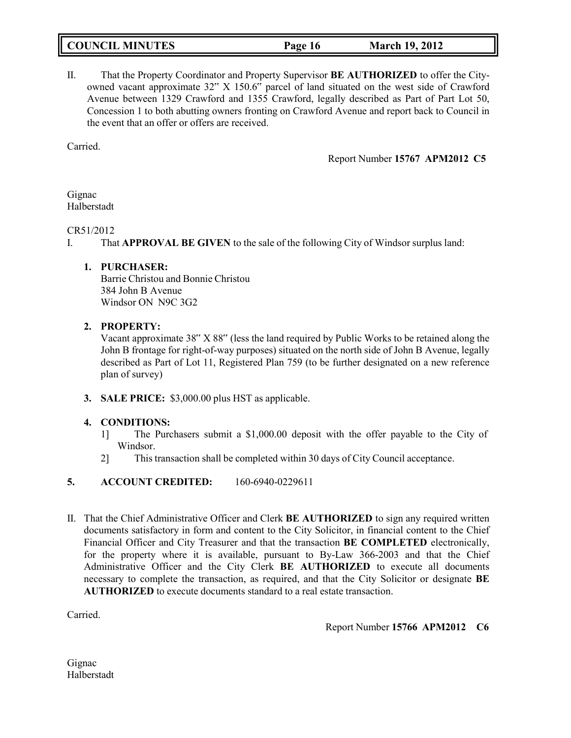| <b>COUNCIL MINUTES</b><br><b>March 19, 2012</b><br>Page 16 |  |
|------------------------------------------------------------|--|
|------------------------------------------------------------|--|

II. That the Property Coordinator and Property Supervisor **BE AUTHORIZED** to offer the Cityowned vacant approximate 32" X 150.6" parcel of land situated on the west side of Crawford Avenue between 1329 Crawford and 1355 Crawford, legally described as Part of Part Lot 50, Concession 1 to both abutting owners fronting on Crawford Avenue and report back to Council in the event that an offer or offers are received.

Carried.

Report Number **15767 APM2012 C5**

Gignac Halberstadt

#### CR51/2012

I. That **APPROVAL BE GIVEN** to the sale of the following City of Windsor surplus land:

### **1. PURCHASER:**

Barrie Christou and Bonnie Christou 384 John B Avenue Windsor ON N9C 3G2

### **2. PROPERTY:**

Vacant approximate 38" X 88" (less the land required by Public Works to be retained along the John B frontage for right-of-way purposes) situated on the north side of John B Avenue, legally described as Part of Lot 11, Registered Plan 759 (to be further designated on a new reference plan of survey)

**3. SALE PRICE:** \$3,000.00 plus HST as applicable.

### **4. CONDITIONS:**

- 1] The Purchasers submit a \$1,000.00 deposit with the offer payable to the City of Windsor.
- 2] This transaction shall be completed within 30 days of City Council acceptance.
- **5. ACCOUNT CREDITED:** 160-6940-0229611
- II. That the Chief Administrative Officer and Clerk **BE AUTHORIZED** to sign any required written documents satisfactory in form and content to the City Solicitor, in financial content to the Chief Financial Officer and City Treasurer and that the transaction **BE COMPLETED** electronically, for the property where it is available, pursuant to By-Law 366-2003 and that the Chief Administrative Officer and the City Clerk **BE AUTHORIZED** to execute all documents necessary to complete the transaction, as required, and that the City Solicitor or designate **BE AUTHORIZED** to execute documents standard to a real estate transaction.

Carried.

Report Number **15766 APM2012 C6**

Gignac Halberstadt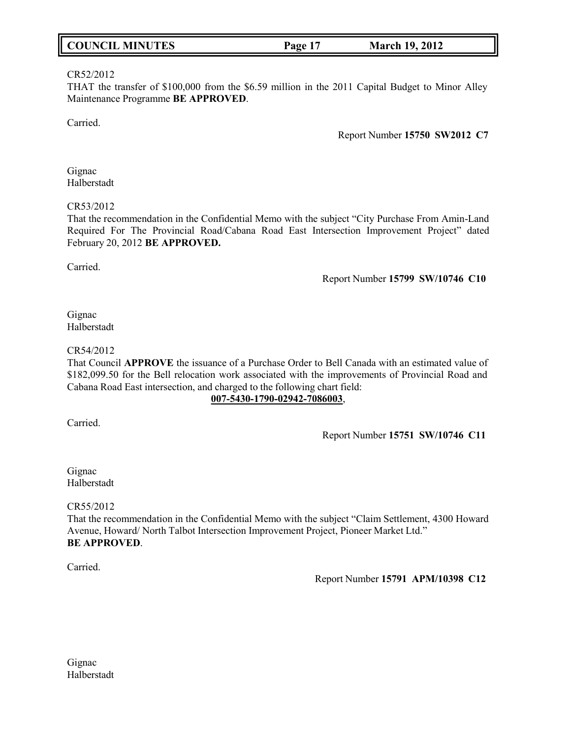#### CR52/2012

THAT the transfer of \$100,000 from the \$6.59 million in the 2011 Capital Budget to Minor Alley Maintenance Programme **BE APPROVED**.

Carried.

Report Number **15750 SW2012 C7**

Gignac Halberstadt

#### CR53/2012

That the recommendation in the Confidential Memo with the subject "City Purchase From Amin-Land Required For The Provincial Road/Cabana Road East Intersection Improvement Project" dated February 20, 2012 **BE APPROVED.**

Carried.

Report Number **15799 SW/10746 C10**

Gignac Halberstadt

#### CR54/2012

That Council **APPROVE** the issuance of a Purchase Order to Bell Canada with an estimated value of \$182,099.50 for the Bell relocation work associated with the improvements of Provincial Road and Cabana Road East intersection, and charged to the following chart field:

### **007-5430-1790-02942-7086003**,

Carried.

Report Number **15751 SW/10746 C11**

Gignac Halberstadt

CR55/2012

That the recommendation in the Confidential Memo with the subject "Claim Settlement, 4300 Howard Avenue, Howard/ North Talbot Intersection Improvement Project, Pioneer Market Ltd." **BE APPROVED**.

Carried.

Report Number **15791 APM/10398 C12**

Gignac Halberstadt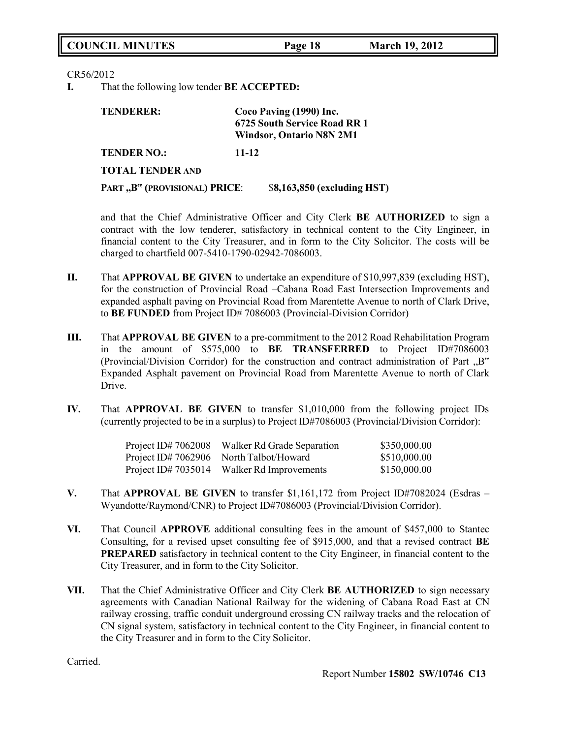CR56/2012

**I.** That the following low tender **BE ACCEPTED:**

| <b>TENDERER:</b>                           | Coco Paving (1990) Inc.<br>6725 South Service Road RR 1<br><b>Windsor, Ontario N8N 2M1</b> |                             |
|--------------------------------------------|--------------------------------------------------------------------------------------------|-----------------------------|
| <b>TENDER NO.:</b>                         | 11-12                                                                                      |                             |
| <b>TOTAL TENDER AND</b>                    |                                                                                            |                             |
| PART "B <sup>et</sup> (PROVISIONAL) PRICE: |                                                                                            | \$8,163,850 (excluding HST) |

and that the Chief Administrative Officer and City Clerk **BE AUTHORIZED** to sign a contract with the low tenderer, satisfactory in technical content to the City Engineer, in financial content to the City Treasurer, and in form to the City Solicitor. The costs will be charged to chartfield 007-5410-1790-02942-7086003.

- **II.** That **APPROVAL BE GIVEN** to undertake an expenditure of \$10,997,839 (excluding HST), for the construction of Provincial Road –Cabana Road East Intersection Improvements and expanded asphalt paving on Provincial Road from Marentette Avenue to north of Clark Drive, to **BE FUNDED** from Project ID# 7086003 (Provincial-Division Corridor)
- **III.** That **APPROVAL BE GIVEN** to a pre-commitment to the 2012 Road Rehabilitation Program in the amount of \$575,000 to **BE TRANSFERRED** to Project ID#7086003 (Provincial/Division Corridor) for the construction and contract administration of Part  $\mathbb{R}^n$ Expanded Asphalt pavement on Provincial Road from Marentette Avenue to north of Clark Drive.
- **IV.** That **APPROVAL BE GIVEN** to transfer \$1,010,000 from the following project IDs (currently projected to be in a surplus) to Project ID#7086003 (Provincial/Division Corridor):

| Project ID# $7062008$ | Walker Rd Grade Separation              | \$350,000.00 |
|-----------------------|-----------------------------------------|--------------|
|                       | Project ID# 7062906 North Talbot/Howard | \$510,000.00 |
| Project ID# $7035014$ | Walker Rd Improvements                  | \$150,000.00 |

- **V.** That **APPROVAL BE GIVEN** to transfer \$1,161,172 from Project ID#7082024 (Esdras Wyandotte/Raymond/CNR) to Project ID#7086003 (Provincial/Division Corridor).
- **VI.** That Council **APPROVE** additional consulting fees in the amount of \$457,000 to Stantec Consulting, for a revised upset consulting fee of \$915,000, and that a revised contract **BE PREPARED** satisfactory in technical content to the City Engineer, in financial content to the City Treasurer, and in form to the City Solicitor.
- **VII.** That the Chief Administrative Officer and City Clerk **BE AUTHORIZED** to sign necessary agreements with Canadian National Railway for the widening of Cabana Road East at CN railway crossing, traffic conduit underground crossing CN railway tracks and the relocation of CN signal system, satisfactory in technical content to the City Engineer, in financial content to the City Treasurer and in form to the City Solicitor.

Carried.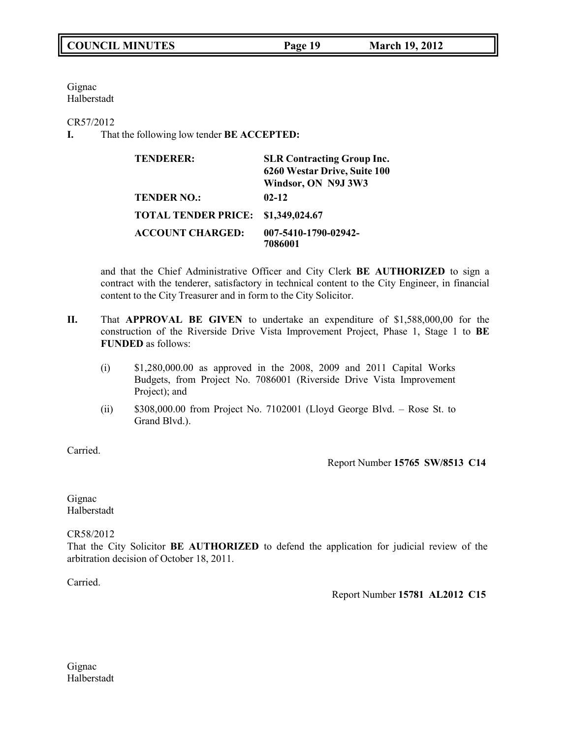Gignac Halberstadt

CR57/2012

**I.** That the following low tender **BE ACCEPTED:**

| <b>TENDERER:</b>           | <b>SLR Contracting Group Inc.</b> |
|----------------------------|-----------------------------------|
|                            | 6260 Westar Drive, Suite 100      |
|                            | Windsor, ON N9J 3W3               |
| <b>TENDER NO.:</b>         | $02 - 12$                         |
| <b>TOTAL TENDER PRICE:</b> | \$1,349,024.67                    |
| <b>ACCOUNT CHARGED:</b>    | 007-5410-1790-02942-<br>7086001   |

and that the Chief Administrative Officer and City Clerk **BE AUTHORIZED** to sign a contract with the tenderer, satisfactory in technical content to the City Engineer, in financial content to the City Treasurer and in form to the City Solicitor.

- **II.** That **APPROVAL BE GIVEN** to undertake an expenditure of \$1,588,000,00 for the construction of the Riverside Drive Vista Improvement Project, Phase 1, Stage 1 to **BE FUNDED** as follows:
	- (i) \$1,280,000.00 as approved in the 2008, 2009 and 2011 Capital Works Budgets, from Project No. 7086001 (Riverside Drive Vista Improvement Project); and
	- (ii)  $$308,000.00$  from Project No. 7102001 (Lloyd George Blvd. Rose St. to Grand Blvd.).

Carried.

Report Number **15765 SW/8513 C14**

Gignac Halberstadt

CR58/2012

That the City Solicitor **BE AUTHORIZED** to defend the application for judicial review of the arbitration decision of October 18, 2011.

Carried.

Report Number **15781 AL2012 C15**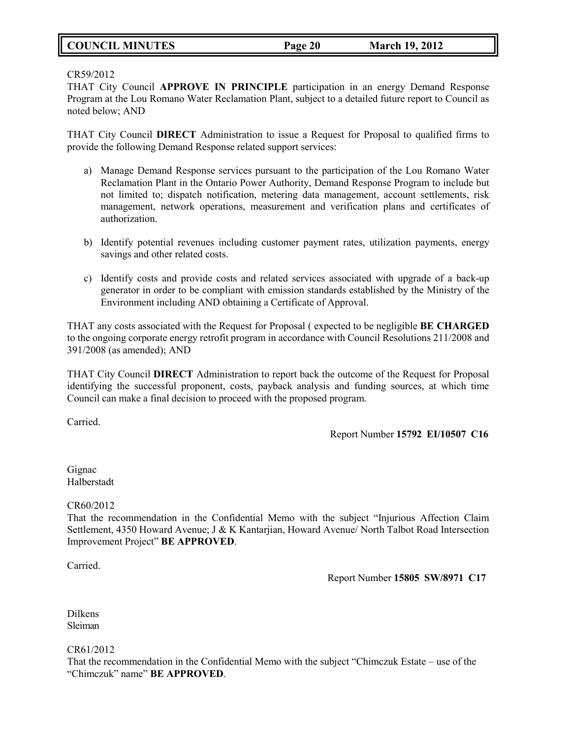# **COUNCIL MINUTES Page 20 March 19, 2012**

CR59/2012

THAT City Council **APPROVE IN PRINCIPLE** participation in an energy Demand Response Program at the Lou Romano Water Reclamation Plant, subject to a detailed future report to Council as noted below; AND

THAT City Council **DIRECT** Administration to issue a Request for Proposal to qualified firms to provide the following Demand Response related support services:

- a) Manage Demand Response services pursuant to the participation of the Lou Romano Water Reclamation Plant in the Ontario Power Authority, Demand Response Program to include but not limited to; dispatch notification, metering data management, account settlements, risk management, network operations, measurement and verification plans and certificates of authorization.
- b) Identify potential revenues including customer payment rates, utilization payments, energy savings and other related costs.
- c) Identify costs and provide costs and related services associated with upgrade of a back-up generator in order to be compliant with emission standards established by the Ministry of the Environment including AND obtaining a Certificate of Approval.

THAT any costs associated with the Request for Proposal ( expected to be negligible **BE CHARGED** to the ongoing corporate energy retrofit program in accordance with Council Resolutions 211/2008 and 391/2008 (as amended); AND

THAT City Council **DIRECT** Administration to report back the outcome of the Request for Proposal identifying the successful proponent, costs, payback analysis and funding sources, at which time Council can make a final decision to proceed with the proposed program.

Carried.

Report Number **15792 EI/10507 C16**

Gignac Halberstadt

CR60/2012

That the recommendation in the Confidential Memo with the subject "Injurious Affection Claim Settlement, 4350 Howard Avenue; J & K Kantarjian, Howard Avenue/ North Talbot Road Intersection Improvement Project" **BE APPROVED**.

Carried.

Report Number **15805 SW/8971 C17**

Dilkens Sleiman

CR61/2012

That the recommendation in the Confidential Memo with the subject "Chimczuk Estate – use of the "Chimczuk" name" **BE APPROVED**.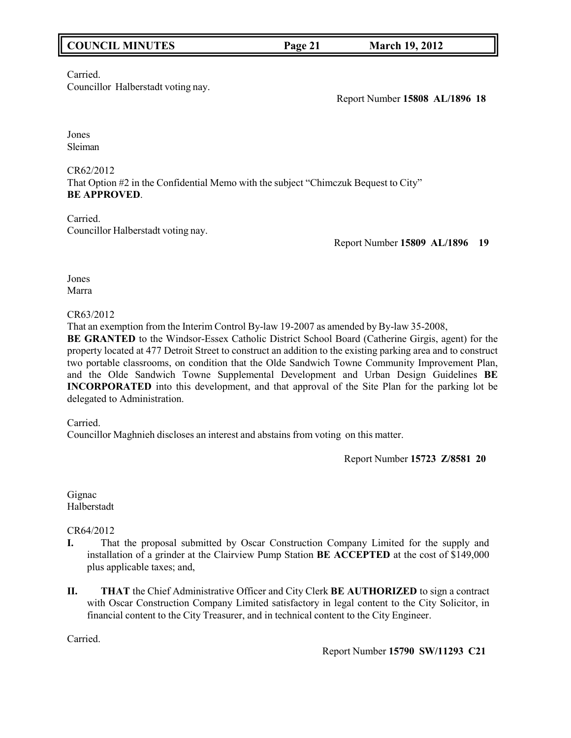# **COUNCIL MINUTES Page 21 March 19, 2012**

Carried.

Councillor Halberstadt voting nay.

Report Number **15808 AL/1896 18**

Jones Sleiman

CR62/2012 That Option #2 in the Confidential Memo with the subject "Chimczuk Bequest to City" **BE APPROVED**.

Carried. Councillor Halberstadt voting nay.

Report Number **15809 AL/1896 19**

Jones Marra

# CR63/2012

That an exemption from the Interim Control By-law 19-2007 as amended by By-law 35-2008,

**BE GRANTED** to the Windsor-Essex Catholic District School Board (Catherine Girgis, agent) for the property located at 477 Detroit Street to construct an addition to the existing parking area and to construct two portable classrooms, on condition that the Olde Sandwich Towne Community Improvement Plan, and the Olde Sandwich Towne Supplemental Development and Urban Design Guidelines **BE INCORPORATED** into this development, and that approval of the Site Plan for the parking lot be delegated to Administration.

Carried.

Councillor Maghnieh discloses an interest and abstains from voting on this matter.

Report Number **15723 Z/8581 20**

Gignac Halberstadt

CR64/2012

- **I.** That the proposal submitted by Oscar Construction Company Limited for the supply and installation of a grinder at the Clairview Pump Station **BE ACCEPTED** at the cost of \$149,000 plus applicable taxes; and,
- **II. THAT** the Chief Administrative Officer and City Clerk **BE AUTHORIZED** to sign a contract with Oscar Construction Company Limited satisfactory in legal content to the City Solicitor, in financial content to the City Treasurer, and in technical content to the City Engineer.

Carried.

Report Number **15790 SW/11293 C21**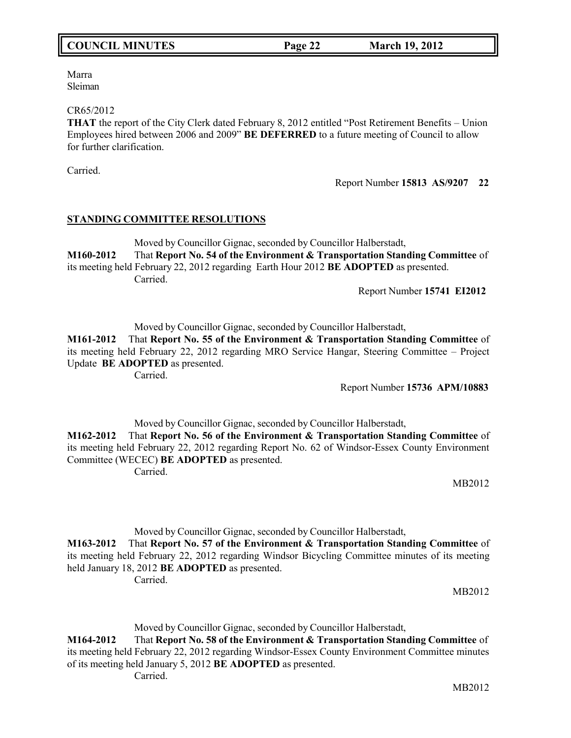# **COUNCIL MINUTES Page 22 March 19, 2012**

Marra Sleiman

CR65/2012

**THAT** the report of the City Clerk dated February 8, 2012 entitled "Post Retirement Benefits – Union Employees hired between 2006 and 2009" **BE DEFERRED** to a future meeting of Council to allow for further clarification.

Carried.

Report Number **15813 AS/9207 22**

## **STANDING COMMITTEE RESOLUTIONS**

Moved by Councillor Gignac, seconded by Councillor Halberstadt, **M160-2012** That **Report No. 54 of the Environment & Transportation Standing Committee** of its meeting held February 22, 2012 regarding Earth Hour 2012 **BE ADOPTED** as presented. Carried.

Report Number **15741 EI2012**

Moved by Councillor Gignac, seconded by Councillor Halberstadt,

**M161-2012** That **Report No. 55 of the Environment & Transportation Standing Committee** of its meeting held February 22, 2012 regarding MRO Service Hangar, Steering Committee – Project Update **BE ADOPTED** as presented.

Carried.

Report Number **15736 APM/10883**

Moved by Councillor Gignac, seconded by Councillor Halberstadt,

**M162-2012** That **Report No. 56 of the Environment & Transportation Standing Committee** of its meeting held February 22, 2012 regarding Report No. 62 of Windsor-Essex County Environment Committee (WECEC) **BE ADOPTED** as presented.

Carried.

MB2012

Moved by Councillor Gignac, seconded by Councillor Halberstadt,

**M163-2012** That **Report No. 57 of the Environment & Transportation Standing Committee** of its meeting held February 22, 2012 regarding Windsor Bicycling Committee minutes of its meeting held January 18, 2012 **BE ADOPTED** as presented. Carried.

MB2012

Moved by Councillor Gignac, seconded by Councillor Halberstadt,

**M164-2012** That **Report No. 58 of the Environment & Transportation Standing Committee** of its meeting held February 22, 2012 regarding Windsor-Essex County Environment Committee minutes of its meeting held January 5, 2012 **BE ADOPTED** as presented.

Carried.

MB2012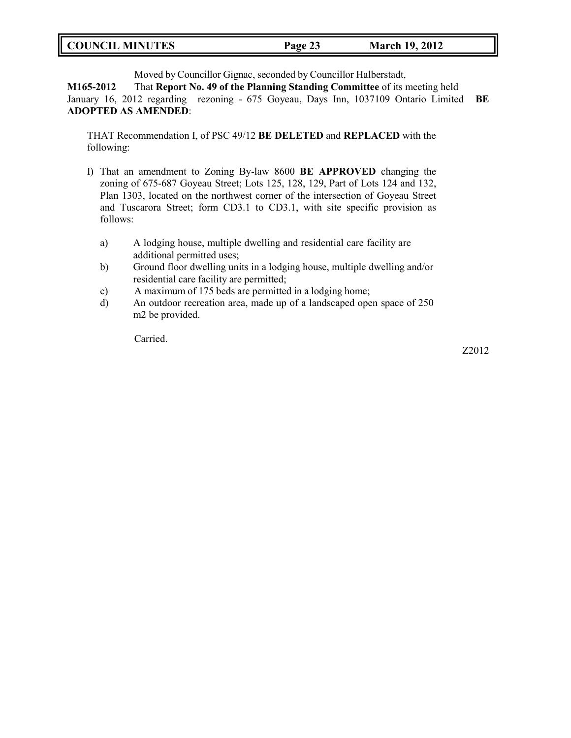| <b>COUNCIL MINUTES</b> | Page 23 | <b>March 19, 2012</b> |  |
|------------------------|---------|-----------------------|--|

Moved by Councillor Gignac, seconded by Councillor Halberstadt,

**M165-2012** That **Report No. 49 of the Planning Standing Committee** of its meeting held January 16, 2012 regarding rezoning - 675 Goyeau, Days Inn, 1037109 Ontario Limited **BE ADOPTED AS AMENDED**:

THAT Recommendation I, of PSC 49/12 **BE DELETED** and **REPLACED** with the following:

- I) That an amendment to Zoning By-law 8600 **BE APPROVED** changing the zoning of 675-687 Goyeau Street; Lots 125, 128, 129, Part of Lots 124 and 132, Plan 1303, located on the northwest corner of the intersection of Goyeau Street and Tuscarora Street; form CD3.1 to CD3.1, with site specific provision as follows:
	- a) A lodging house, multiple dwelling and residential care facility are additional permitted uses;
	- b) Ground floor dwelling units in a lodging house, multiple dwelling and/or residential care facility are permitted;
	- c) A maximum of 175 beds are permitted in a lodging home;
	- d) An outdoor recreation area, made up of a landscaped open space of 250 m2 be provided.

Carried.

Z2012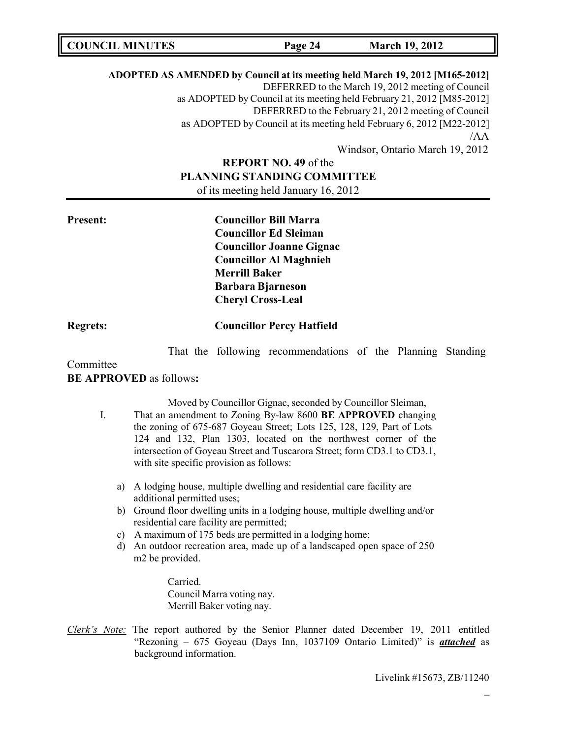**COUNCIL MINUTES Page 24 March 19, 2012**

# **ADOPTED AS AMENDED by Council at its meeting held March 19, 2012 [M165-2012]** DEFERRED to the March 19, 2012 meeting of Council as ADOPTED by Council at its meeting held February 21, 2012 [M85-2012] DEFERRED to the February 21, 2012 meeting of Council as ADOPTED by Council at its meeting held February 6, 2012 [M22-2012] /AA

Windsor, Ontario March 19, 2012

# **REPORT NO. 49** of the **PLANNING STANDING COMMITTEE** of its meeting held January 16, 2012

**Present: Councillor Bill Marra Councillor Ed Sleiman Councillor Joanne Gignac Councillor Al Maghnieh Merrill Baker Barbara Bjarneson Cheryl Cross-Leal**

# **Regrets: Councillor Percy Hatfield**

That the following recommendations of the Planning Standing

#### Committee

# **BE APPROVED** as follows**:**

Moved by Councillor Gignac, seconded by Councillor Sleiman,

- I. That an amendment to Zoning By-law 8600 **BE APPROVED** changing the zoning of 675-687 Goyeau Street; Lots 125, 128, 129, Part of Lots 124 and 132, Plan 1303, located on the northwest corner of the intersection of Goyeau Street and Tuscarora Street; form CD3.1 to CD3.1, with site specific provision as follows:
	- a) A lodging house, multiple dwelling and residential care facility are additional permitted uses;
	- b) Ground floor dwelling units in a lodging house, multiple dwelling and/or residential care facility are permitted;
	- c) A maximum of 175 beds are permitted in a lodging home;
	- d) An outdoor recreation area, made up of a landscaped open space of 250 m2 be provided.

Carried. Council Marra voting nay. Merrill Baker voting nay.

*Clerk's Note:* The report authored by the Senior Planner dated December 19, 2011 entitled "Rezoning – 675 Goyeau (Days Inn, 1037109 Ontario Limited)" is *attached* as background information.

Livelink #15673, ZB/11240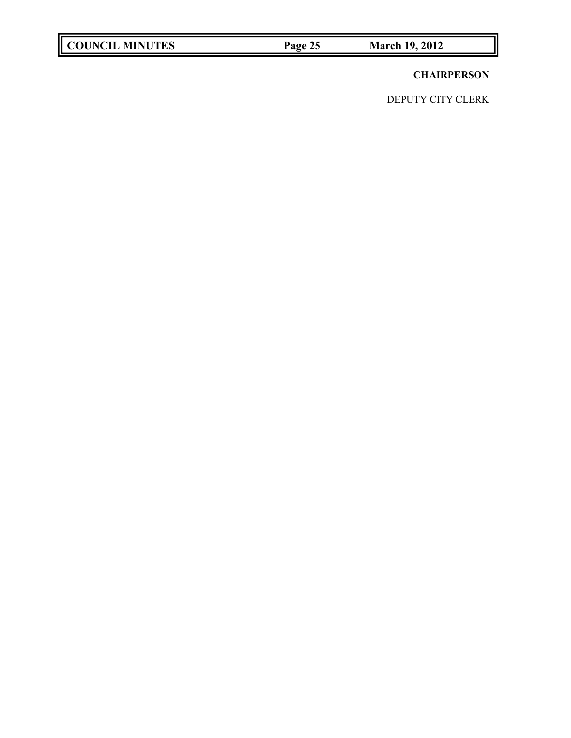**COUNCIL MINUTES Page 25 March 19, 2012**

# **CHAIRPERSON**

DEPUTY CITY CLERK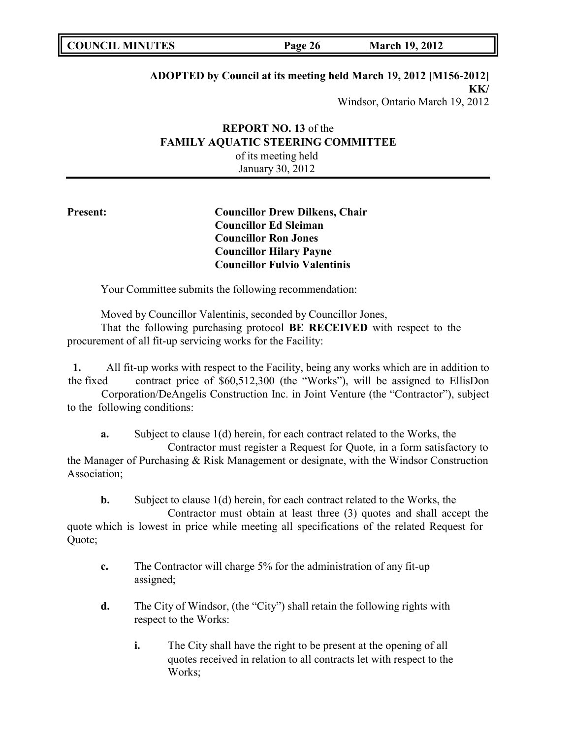# **ADOPTED by Council at its meeting held March 19, 2012 [M156-2012]**

**KK/** Windsor, Ontario March 19, 2012

# **REPORT NO. 13** of the **FAMILY AQUATIC STEERING COMMITTEE** of its meeting held January 30, 2012

# **Present: Councillor Drew Dilkens, Chair Councillor Ed Sleiman Councillor Ron Jones Councillor Hilary Payne Councillor Fulvio Valentinis**

Your Committee submits the following recommendation:

Moved by Councillor Valentinis, seconded by Councillor Jones,

That the following purchasing protocol **BE RECEIVED** with respect to the procurement of all fit-up servicing works for the Facility:

**1.** All fit-up works with respect to the Facility, being any works which are in addition to the fixed contract price of \$60,512,300 (the "Works"), will be assigned to EllisDon

Corporation/DeAngelis Construction Inc. in Joint Venture (the "Contractor"), subject to the following conditions:

**a.** Subject to clause 1(d) herein, for each contract related to the Works, the Contractor must register a Request for Quote, in a form satisfactory to the Manager of Purchasing & Risk Management or designate, with the Windsor Construction Association;

**b.** Subject to clause 1(d) herein, for each contract related to the Works, the Contractor must obtain at least three (3) quotes and shall accept the quote which is lowest in price while meeting all specifications of the related Request for Quote;

- **c.** The Contractor will charge 5% for the administration of any fit-up assigned;
- **d.** The City of Windsor, (the "City") shall retain the following rights with respect to the Works:
	- **i.** The City shall have the right to be present at the opening of all quotes received in relation to all contracts let with respect to the Works;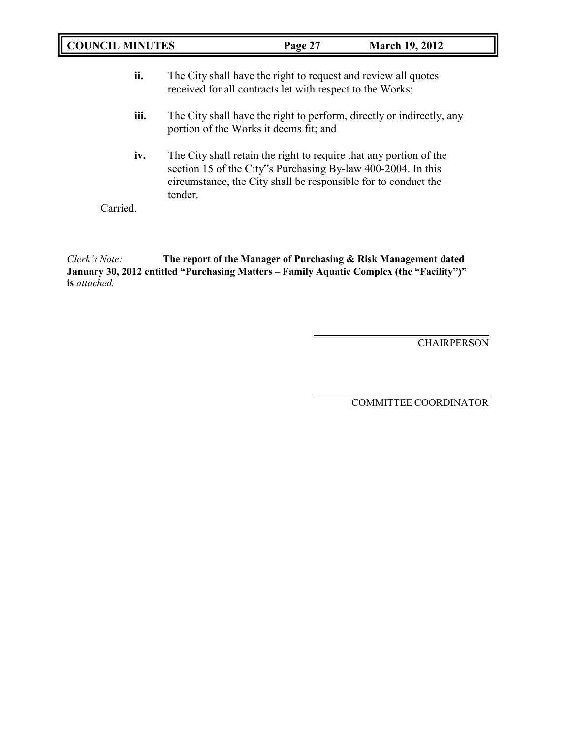| <b>COUNCIL MINUTES</b><br><b>March 19, 2012</b><br>Page 27 |
|------------------------------------------------------------|
|------------------------------------------------------------|

| ii.  | The City shall have the right to request and review all quotes<br>received for all contracts let with respect to the Works;                                                                                     |
|------|-----------------------------------------------------------------------------------------------------------------------------------------------------------------------------------------------------------------|
| iii. | The City shall have the right to perform, directly or indirectly, any<br>portion of the Works it deems fit; and                                                                                                 |
| iv.  | The City shall retain the right to require that any portion of the<br>section 15 of the City"s Purchasing By-law 400-2004. In this<br>circumstance, the City shall be responsible for to conduct the<br>tender. |
|      |                                                                                                                                                                                                                 |

*Clerk's Note:* **The report of the Manager of Purchasing & Risk Management dated January 30, 2012 entitled "Purchasing Matters – Family Aquatic Complex (the "Facility")" is** *attached.*

**CHAIRPERSON**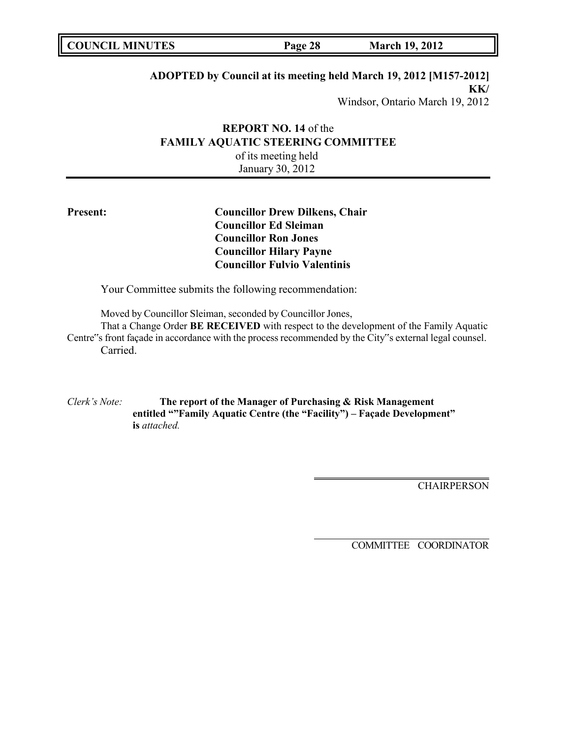# **ADOPTED by Council at its meeting held March 19, 2012 [M157-2012]**

**KK/**

Windsor, Ontario March 19, 2012

# **REPORT NO. 14** of the **FAMILY AQUATIC STEERING COMMITTEE** of its meeting held January 30, 2012

# **Present: Councillor Drew Dilkens, Chair Councillor Ed Sleiman Councillor Ron Jones Councillor Hilary Payne Councillor Fulvio Valentinis**

Your Committee submits the following recommendation:

Moved by Councillor Sleiman, seconded by Councillor Jones,

That a Change Order **BE RECEIVED** with respect to the development of the Family Aquatic Centre"s front façade in accordance with the process recommended by the City"s external legal counsel. Carried.

*Clerk's Note:* **The report of the Manager of Purchasing & Risk Management entitled ""Family Aquatic Centre (the "Facility") – Façade Development" is** *attached.*

**CHAIRPERSON**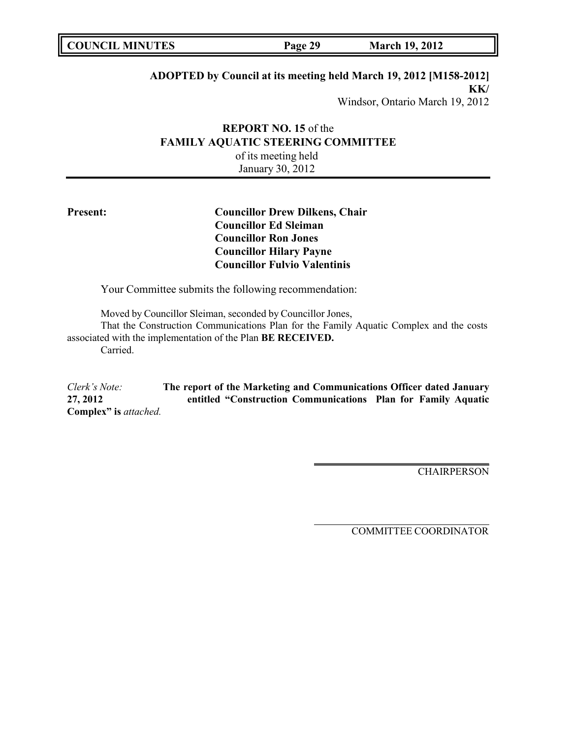## **ADOPTED by Council at its meeting held March 19, 2012 [M158-2012]**

**KK/** Windsor, Ontario March 19, 2012

# **REPORT NO. 15** of the **FAMILY AQUATIC STEERING COMMITTEE** of its meeting held January 30, 2012

# **Present: Councillor Drew Dilkens, Chair Councillor Ed Sleiman Councillor Ron Jones Councillor Hilary Payne Councillor Fulvio Valentinis**

Your Committee submits the following recommendation:

Moved by Councillor Sleiman, seconded by Councillor Jones,

That the Construction Communications Plan for the Family Aquatic Complex and the costs associated with the implementation of the Plan **BE RECEIVED.**

Carried.

*Clerk's Note:* **The report of the Marketing and Communications Officer dated January 27, 2012 entitled "Construction Communications Plan for Family Aquatic Complex" is** *attached.*

**CHAIRPERSON**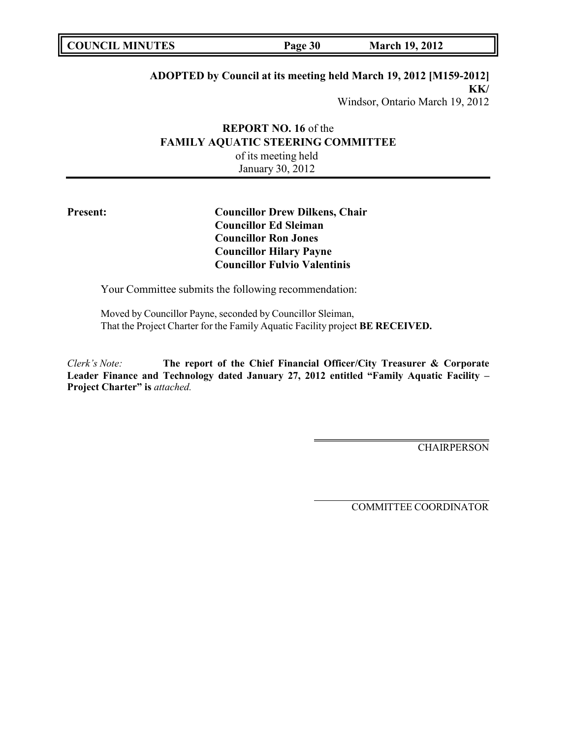# **ADOPTED by Council at its meeting held March 19, 2012 [M159-2012]**

**KK/** Windsor, Ontario March 19, 2012

# **REPORT NO. 16** of the **FAMILY AQUATIC STEERING COMMITTEE** of its meeting held January 30, 2012

**Present: Councillor Drew Dilkens, Chair Councillor Ed Sleiman Councillor Ron Jones Councillor Hilary Payne Councillor Fulvio Valentinis**

Your Committee submits the following recommendation:

Moved by Councillor Payne, seconded by Councillor Sleiman, That the Project Charter for the Family Aquatic Facility project **BE RECEIVED.**

*Clerk's Note:* **The report of the Chief Financial Officer/City Treasurer & Corporate Leader Finance and Technology dated January 27, 2012 entitled "Family Aquatic Facility – Project Charter" is** *attached.*

**CHAIRPERSON**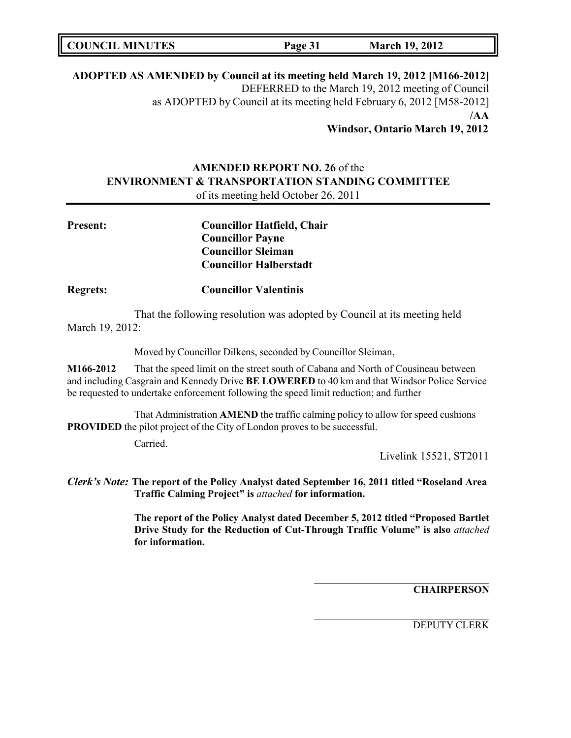**ADOPTED AS AMENDED by Council at its meeting held March 19, 2012 [M166-2012]** DEFERRED to the March 19, 2012 meeting of Council as ADOPTED by Council at its meeting held February 6, 2012 [M58-2012] **/AA Windsor, Ontario March 19, 2012**

# **AMENDED REPORT NO. 26** of the **ENVIRONMENT & TRANSPORTATION STANDING COMMITTEE** of its meeting held October 26, 2011

| <b>Present:</b> | <b>Councillor Hatfield, Chair</b><br><b>Councillor Payne</b><br><b>Councillor Sleiman</b><br><b>Councillor Halberstadt</b>                                                                                                                                                  |
|-----------------|-----------------------------------------------------------------------------------------------------------------------------------------------------------------------------------------------------------------------------------------------------------------------------|
| <b>Regrets:</b> | <b>Councillor Valentinis</b>                                                                                                                                                                                                                                                |
| March 19, 2012: | That the following resolution was adopted by Council at its meeting held                                                                                                                                                                                                    |
|                 | Moved by Councillor Dilkens, seconded by Councillor Sleiman,                                                                                                                                                                                                                |
| M166-2012       | That the speed limit on the street south of Cabana and North of Cousineau between<br>and including Casgrain and Kennedy Drive BE LOWERED to 40 km and that Windsor Police Service<br>be requested to undertake enforcement following the speed limit reduction; and further |
|                 | That Administration <b>AMEND</b> the traffic calming policy to allow for speed cushions<br><b>PROVIDED</b> the pilot project of the City of London proves to be successful.                                                                                                 |
|                 | Carried.<br>Livelink 15521, ST2011                                                                                                                                                                                                                                          |

*Clerk's Note:* **The report of the Policy Analyst dated September 16, 2011 titled "Roseland Area Traffic Calming Project" is** *attached* **for information.**

> **The report of the Policy Analyst dated December 5, 2012 titled "Proposed Bartlet Drive Study for the Reduction of Cut-Through Traffic Volume" is also** *attached* **for information.**

> > **CHAIRPERSON**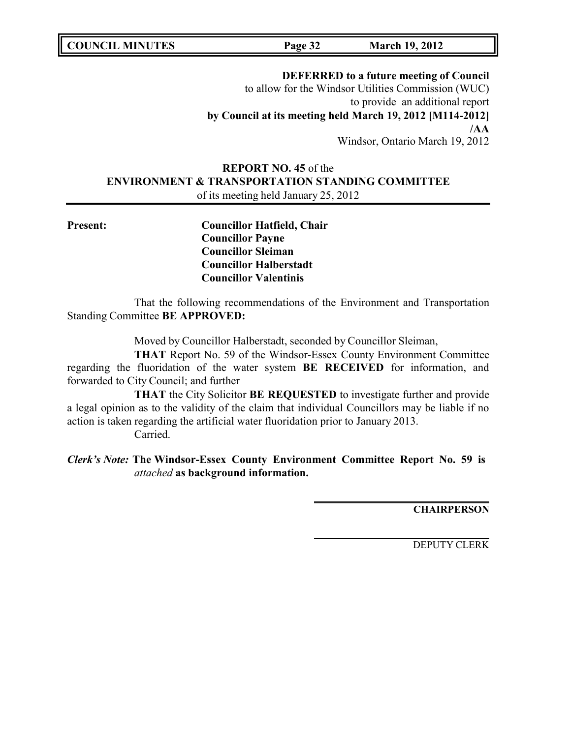**COUNCIL MINUTES Page 32 March 19, 2012**

**DEFERRED to a future meeting of Council** to allow for the Windsor Utilities Commission (WUC) to provide an additional report **by Council at its meeting held March 19, 2012 [M114-2012] /AA**

Windsor, Ontario March 19, 2012

# **REPORT NO. 45** of the **ENVIRONMENT & TRANSPORTATION STANDING COMMITTEE** of its meeting held January 25, 2012

**Present: Councillor Hatfield, Chair Councillor Payne Councillor Sleiman Councillor Halberstadt Councillor Valentinis**

That the following recommendations of the Environment and Transportation Standing Committee **BE APPROVED:**

Moved by Councillor Halberstadt, seconded by Councillor Sleiman,

**THAT** Report No. 59 of the Windsor-Essex County Environment Committee regarding the fluoridation of the water system **BE RECEIVED** for information, and forwarded to City Council; and further

**THAT** the City Solicitor **BE REQUESTED** to investigate further and provide a legal opinion as to the validity of the claim that individual Councillors may be liable if no action is taken regarding the artificial water fluoridation prior to January 2013.

Carried.

*Clerk's Note:* **The Windsor-Essex County Environment Committee Report No. 59 is** *attached* **as background information.**

**CHAIRPERSON**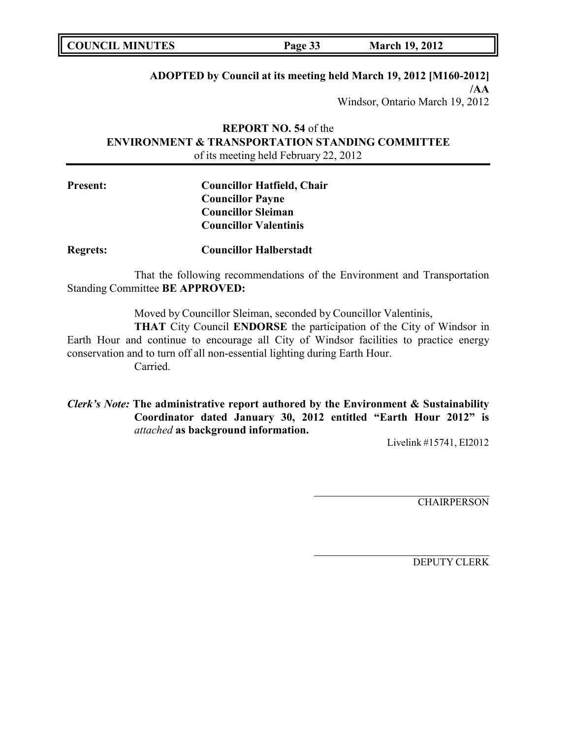## **ADOPTED by Council at its meeting held March 19, 2012 [M160-2012]**

**/AA** Windsor, Ontario March 19, 2012

# **REPORT NO. 54** of the **ENVIRONMENT & TRANSPORTATION STANDING COMMITTEE** of its meeting held February 22, 2012

| <b>Present:</b> | <b>Councillor Hatfield, Chair</b> |
|-----------------|-----------------------------------|
|                 | <b>Councillor Payne</b>           |
|                 | <b>Councillor Sleiman</b>         |
|                 | <b>Councillor Valentinis</b>      |
|                 |                                   |

**Regrets: Councillor Halberstadt**

That the following recommendations of the Environment and Transportation Standing Committee **BE APPROVED:**

Moved by Councillor Sleiman, seconded by Councillor Valentinis,

**THAT** City Council **ENDORSE** the participation of the City of Windsor in Earth Hour and continue to encourage all City of Windsor facilities to practice energy conservation and to turn off all non-essential lighting during Earth Hour. Carried.

*Clerk's Note:* **The administrative report authored by the Environment & Sustainability Coordinator dated January 30, 2012 entitled "Earth Hour 2012" is** *attached* **as background information.**

Livelink #15741, EI2012

**CHAIRPERSON**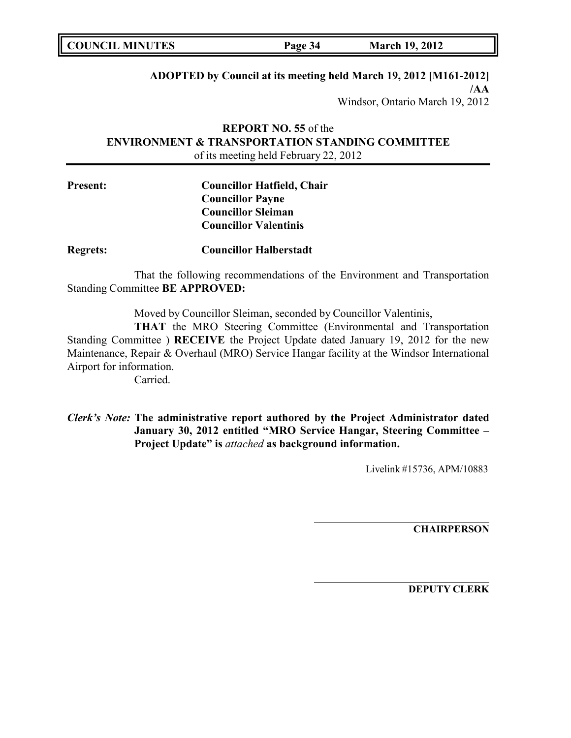# **ADOPTED by Council at its meeting held March 19, 2012 [M161-2012]**

**/AA** Windsor, Ontario March 19, 2012

# **REPORT NO. 55** of the **ENVIRONMENT & TRANSPORTATION STANDING COMMITTEE** of its meeting held February 22, 2012

| <b>Present:</b> | <b>Councillor Hatfield, Chair</b> |
|-----------------|-----------------------------------|
|                 | <b>Councillor Payne</b>           |
|                 | <b>Councillor Sleiman</b>         |
|                 | <b>Councillor Valentinis</b>      |

**Regrets: Councillor Halberstadt**

That the following recommendations of the Environment and Transportation Standing Committee **BE APPROVED:**

Moved by Councillor Sleiman, seconded by Councillor Valentinis,

**THAT** the MRO Steering Committee (Environmental and Transportation Standing Committee ) **RECEIVE** the Project Update dated January 19, 2012 for the new Maintenance, Repair & Overhaul (MRO) Service Hangar facility at the Windsor International Airport for information.

Carried.

*Clerk's Note:* **The administrative report authored by the Project Administrator dated January 30, 2012 entitled "MRO Service Hangar, Steering Committee – Project Update" is** *attached* **as background information.**

Livelink #15736, APM/10883

**CHAIRPERSON**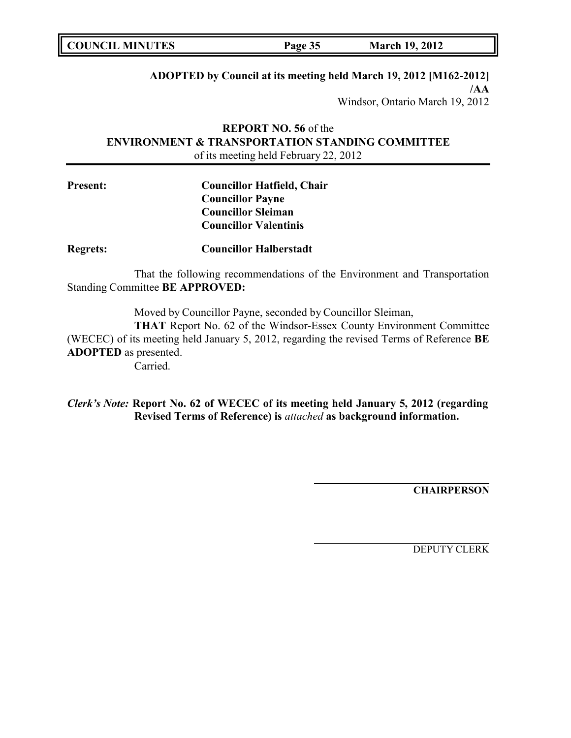# **ADOPTED by Council at its meeting held March 19, 2012 [M162-2012]**

**/AA** Windsor, Ontario March 19, 2012

# **REPORT NO. 56** of the **ENVIRONMENT & TRANSPORTATION STANDING COMMITTEE** of its meeting held February 22, 2012

| <b>Present:</b> | <b>Councillor Hatfield, Chair</b> |
|-----------------|-----------------------------------|
|                 | <b>Councillor Payne</b>           |
|                 | <b>Councillor Sleiman</b>         |
|                 | <b>Councillor Valentinis</b>      |
| <b>Regrets:</b> | <b>Councillor Halberstadt</b>     |

That the following recommendations of the Environment and Transportation Standing Committee **BE APPROVED:**

Moved by Councillor Payne, seconded by Councillor Sleiman,

**THAT** Report No. 62 of the Windsor-Essex County Environment Committee (WECEC) of its meeting held January 5, 2012, regarding the revised Terms of Reference **BE ADOPTED** as presented.

Carried.

*Clerk's Note:* **Report No. 62 of WECEC of its meeting held January 5, 2012 (regarding Revised Terms of Reference) is** *attached* **as background information.**

**CHAIRPERSON**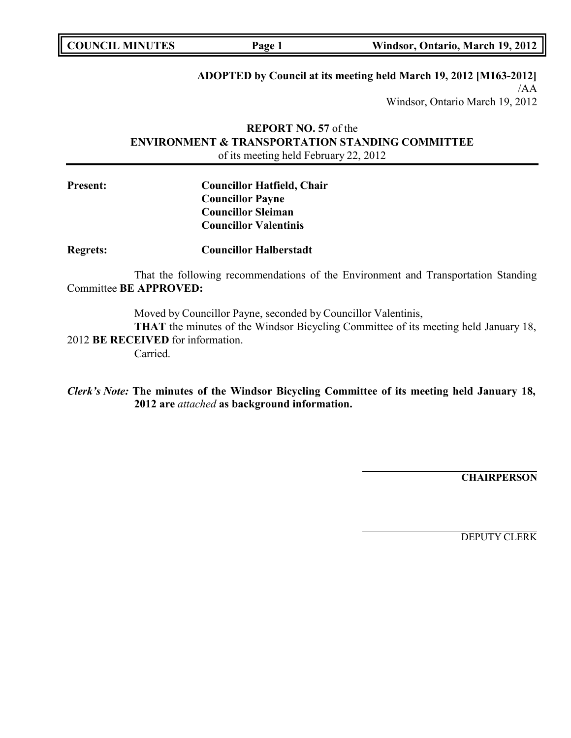| <b>COUNCIL MINUTES</b> |  |
|------------------------|--|
|------------------------|--|

**COUNCIL MINUTES Page 1 Windsor, Ontario, March 19, 2012**

# **ADOPTED by Council at its meeting held March 19, 2012 [M163-2012]**

/AA Windsor, Ontario March 19, 2012

# **REPORT NO. 57** of the **ENVIRONMENT & TRANSPORTATION STANDING COMMITTEE** of its meeting held February 22, 2012

| <b>Present:</b> | <b>Councillor Hatfield, Chair</b> |
|-----------------|-----------------------------------|
|                 | <b>Councillor Payne</b>           |
|                 | <b>Councillor Sleiman</b>         |
|                 | <b>Councillor Valentinis</b>      |
|                 |                                   |

**Regrets: Councillor Halberstadt**

That the following recommendations of the Environment and Transportation Standing Committee **BE APPROVED:**

Moved by Councillor Payne, seconded by Councillor Valentinis,

**THAT** the minutes of the Windsor Bicycling Committee of its meeting held January 18, 2012 **BE RECEIVED** for information.

Carried.

*Clerk's Note:* **The minutes of the Windsor Bicycling Committee of its meeting held January 18, 2012 are** *attached* **as background information.**

**CHAIRPERSON**